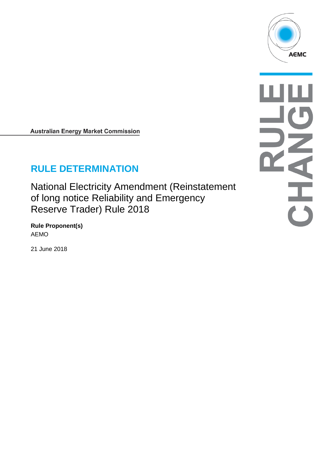

NHAI

**Australian Energy Market Commission** 

# **RULE DETERMINATION**

National Electricity Amendment (Reinstatement of long notice Reliability and Emergency Reserve Trader) Rule 2018

**Rule Proponent(s)** AEMO

21 June 2018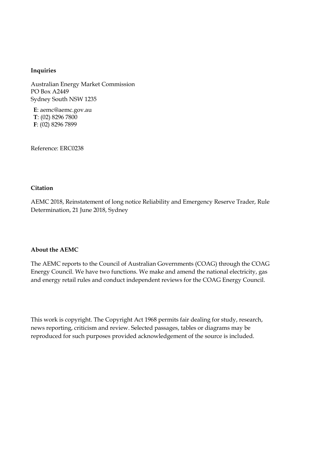#### **Inquiries**

Australian Energy Market Commission PO Box A2449 Sydney South NSW 1235

**E**: aemc@aemc.gov.au **T**: (02) 8296 7800 **F**: (02) 8296 7899

Reference: ERC0238

#### **Citation**

AEMC 2018, Reinstatement of long notice Reliability and Emergency Reserve Trader, Rule Determination, 21 June 2018, Sydney

#### **About the AEMC**

The AEMC reports to the Council of Australian Governments (COAG) through the COAG Energy Council. We have two functions. We make and amend the national electricity, gas and energy retail rules and conduct independent reviews for the COAG Energy Council.

This work is copyright. The Copyright Act 1968 permits fair dealing for study, research, news reporting, criticism and review. Selected passages, tables or diagrams may be reproduced for such purposes provided acknowledgement of the source is included.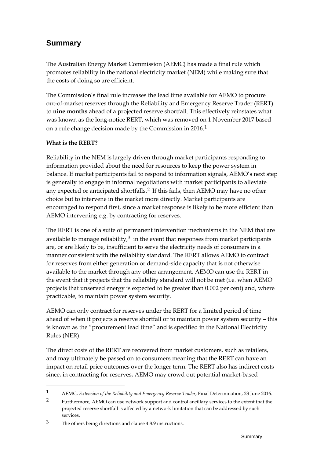# **Summary**

The Australian Energy Market Commission (AEMC) has made a final rule which promotes reliability in the national electricity market (NEM) while making sure that the costs of doing so are efficient.

The Commission's final rule increases the lead time available for AEMO to procure out-of-market reserves through the Reliability and Emergency Reserve Trader (RERT) to **nine months** ahead of a projected reserve shortfall. This effectively reinstates what was known as the long-notice RERT, which was removed on 1 November 2017 based on a rule change decision made by the Commission in 2016.[1](#page-2-0)

### **What is the RERT?**

-

Reliability in the NEM is largely driven through market participants responding to information provided about the need for resources to keep the power system in balance. If market participants fail to respond to information signals, AEMO's next step is generally to engage in informal negotiations with market participants to alleviate any expected or anticipated shortfalls.<sup>[2](#page-2-1)</sup> If this fails, then AEMO may have no other choice but to intervene in the market more directly. Market participants are encouraged to respond first, since a market response is likely to be more efficient than AEMO intervening e.g. by contracting for reserves.

The RERT is one of a suite of permanent intervention mechanisms in the NEM that are available to manage reliability, $3$  in the event that responses from market participants are, or are likely to be, insufficient to serve the electricity needs of consumers in a manner consistent with the reliability standard. The RERT allows AEMO to contract for reserves from either generation or demand-side capacity that is not otherwise available to the market through any other arrangement. AEMO can use the RERT in the event that it projects that the reliability standard will not be met (i.e. when AEMO projects that unserved energy is expected to be greater than 0.002 per cent) and, where practicable, to maintain power system security.

AEMO can only contract for reserves under the RERT for a limited period of time ahead of when it projects a reserve shortfall or to maintain power system security – this is known as the "procurement lead time" and is specified in the National Electricity Rules (NER).

The direct costs of the RERT are recovered from market customers, such as retailers, and may ultimately be passed on to consumers meaning that the RERT can have an impact on retail price outcomes over the longer term. The RERT also has indirect costs since, in contracting for reserves, AEMO may crowd out potential market-based

<span id="page-2-1"></span><span id="page-2-0"></span><sup>1</sup> AEMC, *Extension of the Reliability and Emergency Reserve Trader*, Final Determination, 23 June 2016.

<sup>&</sup>lt;sup>2</sup> Furthermore, AEMO can use network support and control ancillary services to the extent that the projected reserve shortfall is affected by a network limitation that can be addressed by such services.

<span id="page-2-2"></span><sup>3</sup> The others being directions and clause 4.8.9 instructions.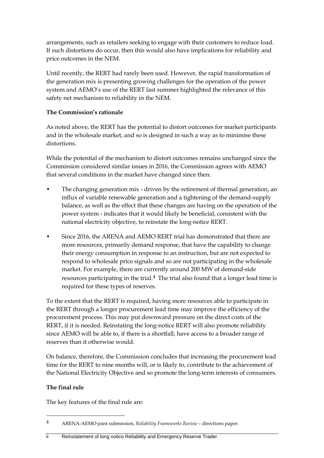arrangements, such as retailers seeking to engage with their customers to reduce load. If such distortions do occur, then this would also have implications for reliability and price outcomes in the NEM.

Until recently, the RERT had rarely been used. However, the rapid transformation of the generation mix is presenting growing challenges for the operation of the power system and AEMO's use of the RERT last summer highlighted the relevance of this safety net mechanism to reliability in the NEM.

#### **The Commission's rationale**

As noted above, the RERT has the potential to distort outcomes for market participants and in the wholesale market, and so is designed in such a way as to minimise these distortions.

While the potential of the mechanism to distort outcomes remains unchanged since the Commission considered similar issues in 2016, the Commission agrees with AEMO that several conditions in the market have changed since then:

- The changing generation mix driven by the retirement of thermal generation, an influx of variable renewable generation and a tightening of the demand-supply balance, as well as the effect that these changes are having on the operation of the power system - indicates that it would likely be beneficial, consistent with the national electricity objective, to reinstate the long-notice RERT.
- Since 2016, the ARENA and AEMO RERT trial has demonstrated that there are more resources, primarily demand response, that have the capability to change their energy consumption in response to an instruction, but are not expected to respond to wholesale price signals and so are not participating in the wholesale market. For example, there are currently around 200 MW of demand-side resources participating in the trial. $4$  The trial also found that a longer lead time is required for these types of reserves.

To the extent that the RERT is required, having more resources able to participate in the RERT through a longer procurement lead time may improve the efficiency of the procurement process. This may put downward pressure on the direct costs of the RERT, if it is needed. Reinstating the long-notice RERT will also promote reliability since AEMO will be able to, if there is a shortfall, have access to a broader range of reserves than it otherwise would.

On balance, therefore, the Commission concludes that increasing the procurement lead time for the RERT to nine months will, or is likely to, contribute to the achievement of the National Electricity Objective and so promote the long-term interests of consumers.

### **The final rule**

-

The key features of the final rule are:

<span id="page-3-0"></span><sup>4</sup> ARENA-AEMO joint submission, *Reliability Frameworks Review* – directions paper.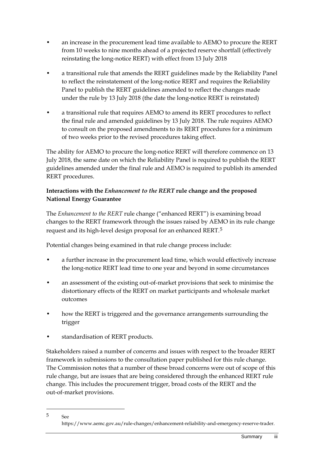- an increase in the procurement lead time available to AEMO to procure the RERT from 10 weeks to nine months ahead of a projected reserve shortfall (effectively reinstating the long-notice RERT) with effect from 13 July 2018
- a transitional rule that amends the RERT guidelines made by the Reliability Panel to reflect the reinstatement of the long-notice RERT and requires the Reliability Panel to publish the RERT guidelines amended to reflect the changes made under the rule by 13 July 2018 (the date the long-notice RERT is reinstated)
- a transitional rule that requires AEMO to amend its RERT procedures to reflect the final rule and amended guidelines by 13 July 2018. The rule requires AEMO to consult on the proposed amendments to its RERT procedures for a minimum of two weeks prior to the revised procedures taking effect.

The ability for AEMO to procure the long-notice RERT will therefore commence on 13 July 2018, the same date on which the Reliability Panel is required to publish the RERT guidelines amended under the final rule and AEMO is required to publish its amended RERT procedures.

### **Interactions with the** *Enhancement to the RERT* **rule change and the proposed National Energy Guarantee**

The *Enhancement to the RERT* rule change ("enhanced RERT") is examining broad changes to the RERT framework through the issues raised by AEMO in its rule change request and its high-level design proposal for an enhanced RERT.[5](#page-4-0) 

Potential changes being examined in that rule change process include:

- a further increase in the procurement lead time, which would effectively increase the long-notice RERT lead time to one year and beyond in some circumstances
- an assessment of the existing out-of-market provisions that seek to minimise the distortionary effects of the RERT on market participants and wholesale market outcomes
- how the RERT is triggered and the governance arrangements surrounding the trigger
- standardisation of RERT products.

-

Stakeholders raised a number of concerns and issues with respect to the broader RERT framework in submissions to the consultation paper published for this rule change. The Commission notes that a number of these broad concerns were out of scope of this rule change, but are issues that are being considered through the enhanced RERT rule change. This includes the procurement trigger, broad costs of the RERT and the out-of-market provisions.

<span id="page-4-0"></span><sup>5</sup> See https://www.aemc.gov.au/rule-changes/enhancement-reliability-and-emergency-reserve-trader.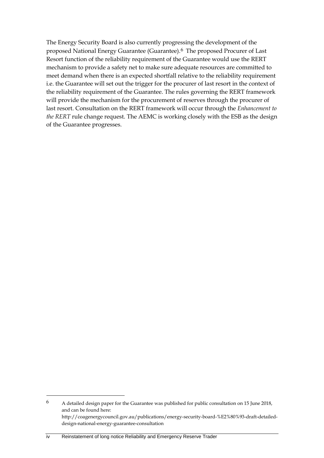The Energy Security Board is also currently progressing the development of the proposed National Energy Guarantee (Guarantee).[6](#page-5-0) The proposed Procurer of Last Resort function of the reliability requirement of the Guarantee would use the RERT mechanism to provide a safety net to make sure adequate resources are committed to meet demand when there is an expected shortfall relative to the reliability requirement i.e. the Guarantee will set out the trigger for the procurer of last resort in the context of the reliability requirement of the Guarantee. The rules governing the RERT framework will provide the mechanism for the procurement of reserves through the procurer of last resort. Consultation on the RERT framework will occur through the *Enhancement to the RERT* rule change request. The AEMC is working closely with the ESB as the design of the Guarantee progresses.

<span id="page-5-0"></span><sup>6</sup> A detailed design paper for the Guarantee was published for public consultation on 15 June 2018, and can be found here: http://coagenergycouncil.gov.au/publications/energy-security-board-%E2%80%93-draft-detaileddesign-national-energy-guarantee-consultation

iv Reinstatement of long notice Reliability and Emergency Reserve Trader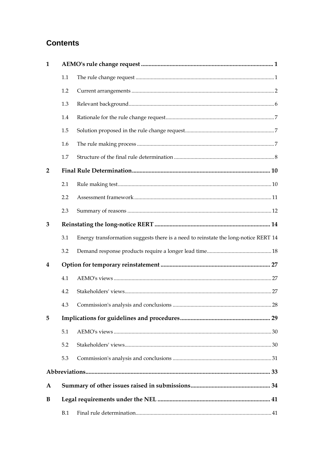# **Contents**

| 1              |     |                                                                                     |  |  |
|----------------|-----|-------------------------------------------------------------------------------------|--|--|
|                | 1.1 |                                                                                     |  |  |
|                | 1.2 |                                                                                     |  |  |
|                | 1.3 |                                                                                     |  |  |
|                | 1.4 |                                                                                     |  |  |
|                | 1.5 |                                                                                     |  |  |
|                | 1.6 |                                                                                     |  |  |
|                | 1.7 |                                                                                     |  |  |
| $\overline{2}$ |     |                                                                                     |  |  |
|                | 2.1 |                                                                                     |  |  |
|                | 2.2 |                                                                                     |  |  |
|                | 2.3 |                                                                                     |  |  |
| 3              |     |                                                                                     |  |  |
|                | 3.1 | Energy transformation suggests there is a need to reinstate the long-notice RERT 14 |  |  |
|                | 3.2 |                                                                                     |  |  |
| 4              |     |                                                                                     |  |  |
|                | 4.1 |                                                                                     |  |  |
|                | 4.2 |                                                                                     |  |  |
|                |     |                                                                                     |  |  |
| 5              |     |                                                                                     |  |  |
|                | 5.1 |                                                                                     |  |  |
|                | 5.2 |                                                                                     |  |  |
|                | 5.3 |                                                                                     |  |  |
|                |     |                                                                                     |  |  |
| A              |     |                                                                                     |  |  |
| B              |     |                                                                                     |  |  |
|                | B.1 |                                                                                     |  |  |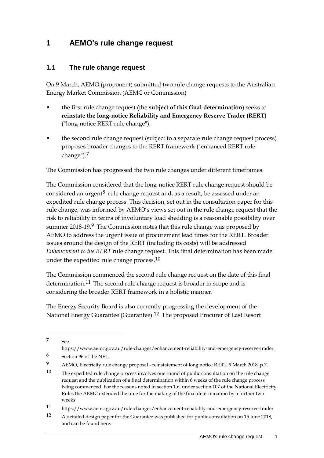# <span id="page-8-0"></span>**1 AEMO's rule change request**

## <span id="page-8-1"></span>**1.1 The rule change request**

On 9 March, AEMO (proponent) submitted two rule change requests to the Australian Energy Market Commission (AEMC or Commission)

- the first rule change request (the **subject of this final determination**) seeks to **reinstate the long-notice Reliability and Emergency Reserve Trader (RERT)** ("long-notice RERT rule change").
- the second rule change request (subject to a separate rule change request process) proposes broader changes to the RERT framework ("enhanced RERT rule change").[7](#page-8-2)

The Commission has progressed the two rule changes under different timeframes.

The Commission considered that the long-notice RERT rule change request should be considered an urgent<sup>[8](#page-8-3)</sup> rule change request and, as a result, be assessed under an expedited rule change process. This decision, set out in the consultation paper for this rule change, was informed by AEMO's views set out in the rule change request that the risk to reliability in terms of involuntary load shedding is a reasonable possibility over summer 2018-19.<sup>9</sup> The Commission notes that this rule change was proposed by AEMO to address the urgent issue of procurement lead times for the RERT. Broader issues around the design of the RERT (including its costs) will be addressed *Enhancement to the RERT* rule change request. This final determination has been made under the expedited rule change process.<sup>[10](#page-8-5)</sup>

The Commission commenced the second rule change request on the date of this final determination.<sup>[11](#page-8-6)</sup> The second rule change request is broader in scope and is considering the broader RERT framework in a holistic manner.

The Energy Security Board is also currently progressing the development of the National Energy Guarantee (Guarantee).<sup>[12](#page-8-7)</sup> The proposed Procurer of Last Resort

<span id="page-8-2"></span><sup>7</sup> See

https://www.aemc.gov.au/rule-changes/enhancement-reliability-and-emergency-reserve-trader.

<span id="page-8-3"></span><sup>8</sup> Section 96 of the NEL

<span id="page-8-4"></span><sup>9</sup> AEMO, Electricity rule change proposal - reinstatement of long notice RERT, 9 March 2018, p.7.

<span id="page-8-5"></span><sup>10</sup> The expedited rule change process involves one round of public consultation on the rule change request and the publication of a final determination within 6 weeks of the rule change process being commenced. For the reasons noted in section 1.6, under section 107 of the National Electricity Rules the AEMC extended the time for the making of the final determination by a further two weeks

<span id="page-8-6"></span><sup>11</sup> https://www.aemc.gov.au/rule-changes/enhancement-reliability-and-emergency-reserve-trader

<span id="page-8-7"></span><sup>12</sup> A detailed design paper for the Guarantee was published for public consultation on 15 June 2018, and can be found here: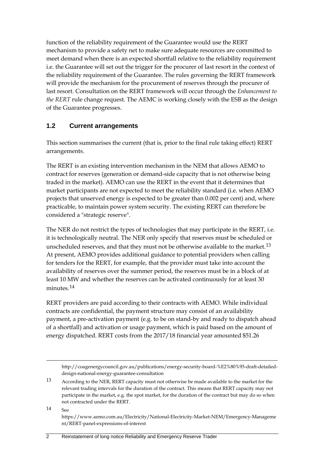function of the reliability requirement of the Guarantee would use the RERT mechanism to provide a safety net to make sure adequate resources are committed to meet demand when there is an expected shortfall relative to the reliability requirement i.e. the Guarantee will set out the trigger for the procurer of last resort in the context of the reliability requirement of the Guarantee. The rules governing the RERT framework will provide the mechanism for the procurement of reserves through the procurer of last resort. Consultation on the RERT framework will occur through the *Enhancement to the RERT* rule change request. The AEMC is working closely with the ESB as the design of the Guarantee progresses.

## <span id="page-9-0"></span>**1.2 Current arrangements**

This section summarises the current (that is, prior to the final rule taking effect) RERT arrangements.

The RERT is an existing intervention mechanism in the NEM that allows AEMO to contract for reserves (generation or demand-side capacity that is not otherwise being traded in the market). AEMO can use the RERT in the event that it determines that market participants are not expected to meet the reliability standard (i.e. when AEMO projects that unserved energy is expected to be greater than 0.002 per cent) and, where practicable, to maintain power system security. The existing RERT can therefore be considered a "strategic reserve".

The NER do not restrict the types of technologies that may participate in the RERT, i.e. it is technologically neutral. The NER only specify that reserves must be scheduled or unscheduled reserves, and that they must not be otherwise available to the market.<sup>[13](#page-9-1)</sup> At present, AEMO provides additional guidance to potential providers when calling for tenders for the RERT, for example, that the provider must take into account the availability of reserves over the summer period, the reserves must be in a block of at least 10 MW and whether the reserves can be activated continuously for at least 30 minutes.<sup>[14](#page-9-2)</sup>

RERT providers are paid according to their contracts with AEMO. While individual contracts are confidential, the payment structure may consist of an availability payment, a pre-activation payment (e.g. to be on stand-by and ready to dispatch ahead of a shortfall) and activation or usage payment, which is paid based on the amount of energy dispatched. RERT costs from the 2017/18 financial year amounted \$51.26

<span id="page-9-1"></span>13 According to the NER, RERT capacity must not otherwise be made available to the market for the relevant trading intervals for the duration of the contract. This means that RERT capacity may not participate in the market, e.g. the spot market, for the duration of the contract but may do so when not contracted under the RERT.

<span id="page-9-2"></span> $14 \qquad \text{See}$ 

http://coagenergycouncil.gov.au/publications/energy-security-board-%E2%80%93-draft-detaileddesign-national-energy-guarantee-consultation

https://www.aemo.com.au/Electricity/National-Electricity-Market-NEM/Emergency-Manageme nt/RERT-panel-expressions-of-interest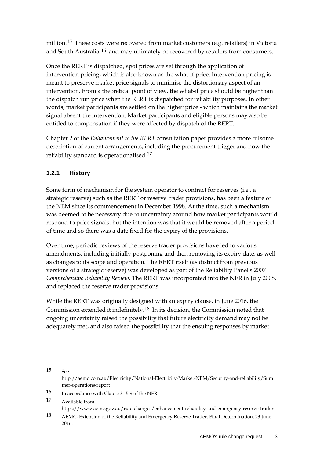million.<sup>[15](#page-10-0)</sup> These costs were recovered from market customers (e.g. retailers) in Victoria and South Australia,<sup>[16](#page-10-1)</sup> and may ultimately be recovered by retailers from consumers.

Once the RERT is dispatched, spot prices are set through the application of intervention pricing, which is also known as the what-if price. Intervention pricing is meant to preserve market price signals to minimise the distortionary aspect of an intervention. From a theoretical point of view, the what-if price should be higher than the dispatch run price when the RERT is dispatched for reliability purposes. In other words, market participants are settled on the higher price - which maintains the market signal absent the intervention. Market participants and eligible persons may also be entitled to compensation if they were affected by dispatch of the RERT.

Chapter 2 of the *Enhancement to the RERT* consultation paper provides a more fulsome description of current arrangements, including the procurement trigger and how the reliability standard is operationalised.[17](#page-10-2)

## **1.2.1 History**

-

Some form of mechanism for the system operator to contract for reserves (i.e., a strategic reserve) such as the RERT or reserve trader provisions, has been a feature of the NEM since its commencement in December 1998. At the time, such a mechanism was deemed to be necessary due to uncertainty around how market participants would respond to price signals, but the intention was that it would be removed after a period of time and so there was a date fixed for the expiry of the provisions.

Over time, periodic reviews of the reserve trader provisions have led to various amendments, including initially postponing and then removing its expiry date, as well as changes to its scope and operation. The RERT itself (as distinct from previous versions of a strategic reserve) was developed as part of the Reliability Panel's 2007 *Comprehensive Reliability Review*. The RERT was incorporated into the NER in July 2008, and replaced the reserve trader provisions.

While the RERT was originally designed with an expiry clause, in June 2016, the Commission extended it indefinitely.[18](#page-10-3) In its decision, the Commission noted that ongoing uncertainty raised the possibility that future electricity demand may not be adequately met, and also raised the possibility that the ensuing responses by market

<span id="page-10-2"></span>17 Available from https://www.aemc.gov.au/rule-changes/enhancement-reliability-and-emergency-reserve-trader

<span id="page-10-0"></span><sup>15</sup> See http://aemo.com.au/Electricity/National-Electricity-Market-NEM/Security-and-reliability/Sum mer-operations-report

<span id="page-10-1"></span><sup>16</sup> In accordance with Clause 3.15.9 of the NER.

<span id="page-10-3"></span><sup>18</sup> AEMC, Extension of the Reliability and Emergency Reserve Trader, Final Determination, 23 June 2016.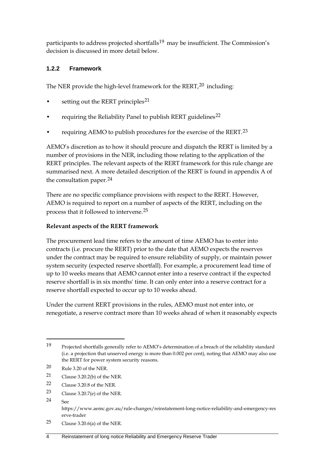participants to address projected shortfalls<sup>19</sup> may be insufficient. The Commission's decision is discussed in more detail below.

### **1.2.2 Framework**

The NER provide the high-level framework for the  $RERT<sub>l</sub><sup>20</sup>$  $RERT<sub>l</sub><sup>20</sup>$  $RERT<sub>l</sub><sup>20</sup>$  including:

- setting out the RERT principles<sup>[21](#page-11-2)</sup>
- requiring the Reliability Panel to publish RERT guidelines<sup>[22](#page-11-3)</sup>
- requiring AEMO to publish procedures for the exercise of the RERT.[23](#page-11-4)

AEMO's discretion as to how it should procure and dispatch the RERT is limited by a number of provisions in the NER, including those relating to the application of the RERT principles. The relevant aspects of the RERT framework for this rule change are summarised next. A more detailed description of the RERT is found in appendix A of the consultation paper.[24](#page-11-5)

There are no specific compliance provisions with respect to the RERT. However, AEMO is required to report on a number of aspects of the RERT, including on the process that it followed to intervene.[25](#page-11-6)

#### **Relevant aspects of the RERT framework**

The procurement lead time refers to the amount of time AEMO has to enter into contracts (i.e. procure the RERT) prior to the date that AEMO expects the reserves under the contract may be required to ensure reliability of supply, or maintain power system security (expected reserve shortfall). For example, a procurement lead time of up to 10 weeks means that AEMO cannot enter into a reserve contract if the expected reserve shortfall is in six months' time. It can only enter into a reserve contract for a reserve shortfall expected to occur up to 10 weeks ahead.

Under the current RERT provisions in the rules, AEMO must not enter into, or renegotiate, a reserve contract more than 10 weeks ahead of when it reasonably expects

- <span id="page-11-2"></span>21 Clause 3.20.2(b) of the NER.
- <span id="page-11-3"></span>22 Clause 3.20.8 of the NER.
- <span id="page-11-4"></span>23 Clause 3.20.7(e) of the NER.
- <span id="page-11-5"></span>24 See

-

<span id="page-11-6"></span>25 Clause 3.20.6(a) of the NER.

<span id="page-11-0"></span><sup>19</sup> Projected shortfalls generally refer to AEMO's determination of a breach of the reliability standard (i.e. a projection that unserved energy is more than 0.002 per cent), noting that AEMO may also use the RERT for power system security reasons.

<span id="page-11-1"></span><sup>20</sup> Rule 3.20 of the NER.

https://www.aemc.gov.au/rule-changes/reinstatement-long-notice-reliability-and-emergency-res erve-trader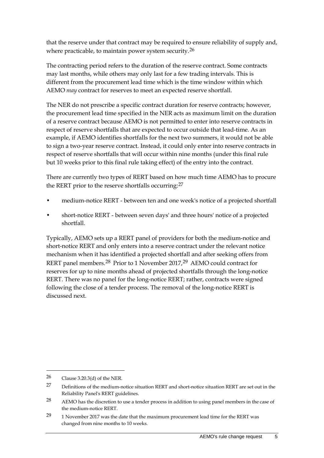that the reserve under that contract may be required to ensure reliability of supply and, where practicable, to maintain power system security.<sup>[26](#page-12-0)</sup>

The contracting period refers to the duration of the reserve contract. Some contracts may last months, while others may only last for a few trading intervals. This is different from the procurement lead time which is the time window within which AEMO *may* contract for reserves to meet an expected reserve shortfall.

The NER do not prescribe a specific contract duration for reserve contracts; however, the procurement lead time specified in the NER acts as maximum limit on the duration of a reserve contract because AEMO is not permitted to enter into reserve contracts in respect of reserve shortfalls that are expected to occur outside that lead-time. As an example, if AEMO identifies shortfalls for the next two summers, it would not be able to sign a two-year reserve contract. Instead, it could only enter into reserve contracts in respect of reserve shortfalls that will occur within nine months (under this final rule but 10 weeks prior to this final rule taking effect) of the entry into the contract.

There are currently two types of RERT based on how much time AEMO has to procure the RERT prior to the reserve shortfalls occurring:<sup>[27](#page-12-1)</sup>

- medium-notice RERT between ten and one week's notice of a projected shortfall
- short-notice RERT between seven days' and three hours' notice of a projected shortfall.

Typically, AEMO sets up a RERT panel of providers for both the medium-notice and short-notice RERT and only enters into a reserve contract under the relevant notice mechanism when it has identified a projected shortfall and after seeking offers from RERT panel members.[28](#page-12-2) Prior to 1 November 2017,[29](#page-12-3) AEMO could contract for reserves for up to nine months ahead of projected shortfalls through the long-notice RERT. There was no panel for the long-notice RERT; rather, contracts were signed following the close of a tender process. The removal of the long-notice RERT is discussed next.

<span id="page-12-0"></span><sup>26</sup> Clause 3.20.3(d) of the NER.

<span id="page-12-1"></span><sup>27</sup> Definitions of the medium-notice situation RERT and short-notice situation RERT are set out in the Reliability Panel's RERT guidelines.

<span id="page-12-2"></span><sup>28</sup> AEMO has the discretion to use a tender process in addition to using panel members in the case of the medium-notice RERT.

<span id="page-12-3"></span><sup>29</sup> 1 November 2017 was the date that the maximum procurement lead time for the RERT was changed from nine months to 10 weeks.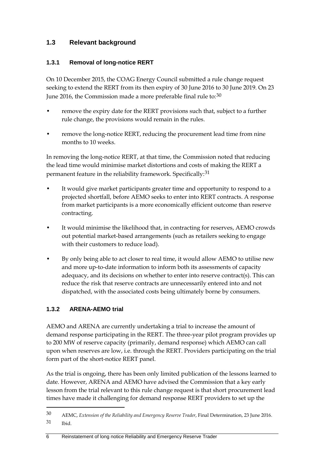## <span id="page-13-0"></span>**1.3 Relevant background**

### **1.3.1 Removal of long-notice RERT**

On 10 December 2015, the COAG Energy Council submitted a rule change request seeking to extend the RERT from its then expiry of 30 June 2016 to 30 June 2019. On 23 June 2016, the Commission made a more preferable final rule to:<sup>[30](#page-13-1)</sup>

- remove the expiry date for the RERT provisions such that, subject to a further rule change, the provisions would remain in the rules.
- remove the long-notice RERT, reducing the procurement lead time from nine months to 10 weeks.

In removing the long-notice RERT, at that time, the Commission noted that reducing the lead time would minimise market distortions and costs of making the RERT a permanent feature in the reliability framework. Specifically:[31](#page-13-2)

- It would give market participants greater time and opportunity to respond to a projected shortfall, before AEMO seeks to enter into RERT contracts. A response from market participants is a more economically efficient outcome than reserve contracting.
- It would minimise the likelihood that, in contracting for reserves, AEMO crowds out potential market-based arrangements (such as retailers seeking to engage with their customers to reduce load).
- By only being able to act closer to real time, it would allow AEMO to utilise new and more up-to-date information to inform both its assessments of capacity adequacy, and its decisions on whether to enter into reserve contract(s). This can reduce the risk that reserve contracts are unnecessarily entered into and not dispatched, with the associated costs being ultimately borne by consumers.

## **1.3.2 ARENA-AEMO trial**

-

AEMO and ARENA are currently undertaking a trial to increase the amount of demand response participating in the RERT. The three-year pilot program provides up to 200 MW of reserve capacity (primarily, demand response) which AEMO can call upon when reserves are low, i.e. through the RERT. Providers participating on the trial form part of the short-notice RERT panel.

As the trial is ongoing, there has been only limited publication of the lessons learned to date. However, ARENA and AEMO have advised the Commission that a key early lesson from the trial relevant to this rule change request is that short procurement lead times have made it challenging for demand response RERT providers to set up the

<span id="page-13-2"></span><span id="page-13-1"></span><sup>30</sup> AEMC, *Extension of the Reliability and Emergency Reserve Trader*, Final Determination, 23 June 2016. 31 Ibid.

<sup>6</sup> Reinstatement of long notice Reliability and Emergency Reserve Trader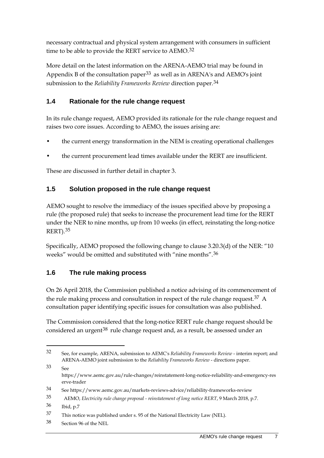necessary contractual and physical system arrangement with consumers in sufficient time to be able to provide the RERT service to AEMO.<sup>[32](#page-14-3)</sup>

More detail on the latest information on the ARENA-AEMO trial may be found in Appendix B of the consultation paper<sup>[33](#page-14-4)</sup> as well as in ARENA's and AEMO's joint submission to the *Reliability Frameworks Review* direction paper.[34](#page-14-5)

## <span id="page-14-0"></span>**1.4 Rationale for the rule change request**

In its rule change request, AEMO provided its rationale for the rule change request and raises two core issues. According to AEMO, the issues arising are:

- the current energy transformation in the NEM is creating operational challenges
- the current procurement lead times available under the RERT are insufficient.

These are discussed in further detail in chapter 3.

## <span id="page-14-1"></span>**1.5 Solution proposed in the rule change request**

AEMO sought to resolve the immediacy of the issues specified above by proposing a rule (the proposed rule) that seeks to increase the procurement lead time for the RERT under the NER to nine months, up from 10 weeks (in effect, reinstating the long-notice RERT).[35](#page-14-6)

Specifically, AEMO proposed the following change to clause 3.20.3(d) of the NER: "10 weeks" would be omitted and substituted with "nine months".[36](#page-14-7)

## <span id="page-14-2"></span>**1.6 The rule making process**

On 26 April 2018, the Commission published a notice advising of its commencement of the rule making process and consultation in respect of the rule change request.<sup>[37](#page-14-8)</sup> A consultation paper identifying specific issues for consultation was also published.

The Commission considered that the long-notice RERT rule change request should be considered an urgent<sup>[38](#page-14-9)</sup> rule change request and, as a result, be assessed under an

<span id="page-14-4"></span>33 See https://www.aemc.gov.au/rule-changes/reinstatement-long-notice-reliability-and-emergency-res erve-trader

<span id="page-14-3"></span><sup>32</sup> See, for example, ARENA, submission to AEMC's *Reliability Frameworks Review* - interim report; and ARENA-AEMO joint submission to the *Reliability Frameworks Review* - directions paper.

<span id="page-14-5"></span><sup>34</sup> See https://www.aemc.gov.au/markets-reviews-advice/reliability-frameworks-review

<span id="page-14-6"></span><sup>35</sup> AEMO, *Electricity rule change proposal - reinstatement of long notice RERT*, 9 March 2018, p.7.

<span id="page-14-7"></span><sup>36</sup> Ibid, p.7

<span id="page-14-8"></span><sup>37</sup> This notice was published under s. 95 of the National Electricity Law (NEL).

<span id="page-14-9"></span><sup>38</sup> Section 96 of the NEL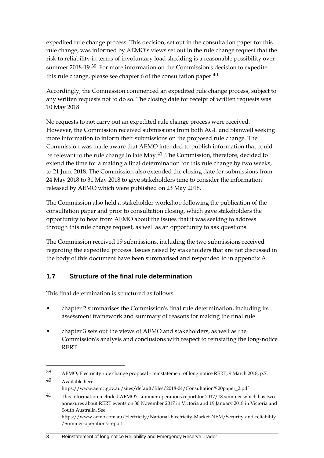expedited rule change process. This decision, set out in the consultation paper for this rule change, was informed by AEMO's views set out in the rule change request that the risk to reliability in terms of involuntary load shedding is a reasonable possibility over summer 2018-19.[39](#page-15-1) For more information on the Commission's decision to expedite this rule change, please see chapter 6 of the consultation paper. $40$ 

Accordingly, the Commission commenced an expedited rule change process, subject to any written requests not to do so. The closing date for receipt of written requests was 10 May 2018.

No requests to not carry out an expedited rule change process were received. However, the Commission received submissions from both AGL and Stanwell seeking more information to inform their submissions on the proposed rule change. The Commission was made aware that AEMO intended to publish information that could be relevant to the rule change in late May.<sup>[41](#page-15-3)</sup> The Commission, therefore, decided to extend the time for a making a final determination for this rule change by two weeks, to 21 June 2018. The Commission also extended the closing date for submissions from 24 May 2018 to 31 May 2018 to give stakeholders time to consider the information released by AEMO which were published on 23 May 2018.

The Commission also held a stakeholder workshop following the publication of the consultation paper and prior to consultation closing, which gave stakeholders the opportunity to hear from AEMO about the issues that it was seeking to address through this rule change request, as well as an opportunity to ask questions.

The Commission received 19 submissions, including the two submissions received regarding the expedited process. Issues raised by stakeholders that are not discussed in the body of this document have been summarised and responded to in appendix [A.](#page-41-0)

## <span id="page-15-0"></span>**1.7 Structure of the final rule determination**

This final determination is structured as follows:

- chapter 2 summarises the Commission's final rule determination, including its assessment framework and summary of reasons for making the final rule
- chapter 3 sets out the views of AEMO and stakeholders, as well as the Commission's analysis and conclusions with respect to reinstating the long-notice RERT

```
/Summer-operations-report
```
<span id="page-15-2"></span><span id="page-15-1"></span><sup>39</sup> AEMO, Electricity rule change proposal - reinstatement of long notice RERT, 9 March 2018, p.7. 40 Available here

https://www.aemc.gov.au/sites/default/files/2018-04/Consultation%20paper\_2.pdf

<span id="page-15-3"></span><sup>41</sup> This information included AEMO's summer operations report for 2017/18 summer which has two annexures about RERT events on 30 November 2017 in Victoria and 19 January 2018 in Victoria and South Australia. See: https://www.aemo.com.au/Electricity/National-Electricity-Market-NEM/Security-and-reliability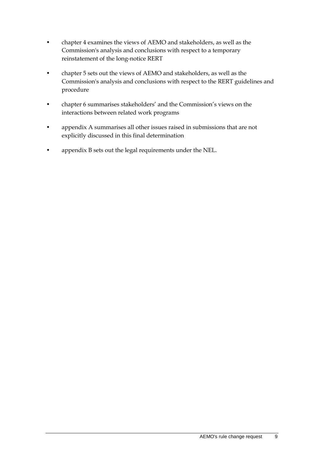- chapter 4 examines the views of AEMO and stakeholders, as well as the Commission's analysis and conclusions with respect to a temporary reinstatement of the long-notice RERT
- chapter 5 sets out the views of AEMO and stakeholders, as well as the Commission's analysis and conclusions with respect to the RERT guidelines and procedure
- chapter 6 summarises stakeholders' and the Commission's views on the interactions between related work programs
- appendix A summarises all other issues raised in submissions that are not explicitly discussed in this final determination
- appendix B sets out the legal requirements under the NEL.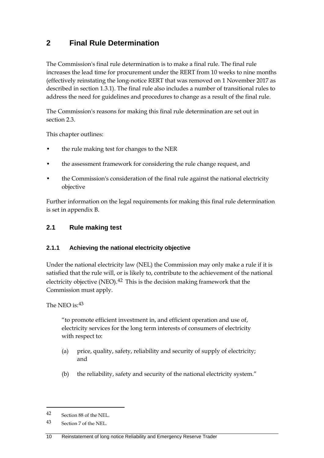# <span id="page-17-0"></span>**2 Final Rule Determination**

The Commission's final rule determination is to make a final rule. The final rule increases the lead time for procurement under the RERT from 10 weeks to nine months (effectively reinstating the long-notice RERT that was removed on 1 November 2017 as described in section 1.3.1). The final rule also includes a number of transitional rules to address the need for guidelines and procedures to change as a result of the final rule.

The Commission's reasons for making this final rule determination are set out in section [2.3.](#page-19-0)

This chapter outlines:

- the rule making test for changes to the NER
- the assessment framework for considering the rule change request, and
- the Commission's consideration of the final rule against the national electricity objective

Further information on the legal requirements for making this final rule determination is set in appendix B.

### <span id="page-17-1"></span>**2.1 Rule making test**

#### **2.1.1 Achieving the national electricity objective**

Under the national electricity law (NEL) the Commission may only make a rule if it is satisfied that the rule will, or is likely to, contribute to the achievement of the national electricity objective (NEO). $42$  This is the decision making framework that the Commission must apply.

#### The NEO is: [43](#page-17-3)

"to promote efficient investment in, and efficient operation and use of, electricity services for the long term interests of consumers of electricity with respect to:

- (a) price, quality, safety, reliability and security of supply of electricity; and
- (b) the reliability, safety and security of the national electricity system."

<span id="page-17-2"></span><sup>42</sup> Section 88 of the NEL.

<span id="page-17-3"></span><sup>43</sup> Section 7 of the NEL.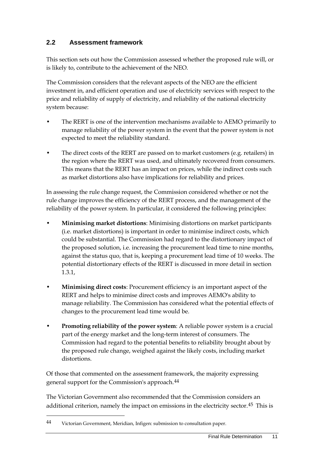## <span id="page-18-0"></span>**2.2 Assessment framework**

This section sets out how the Commission assessed whether the proposed rule will, or is likely to, contribute to the achievement of the NEO.

The Commission considers that the relevant aspects of the NEO are the efficient investment in, and efficient operation and use of electricity services with respect to the price and reliability of supply of electricity, and reliability of the national electricity system because:

- The RERT is one of the intervention mechanisms available to AEMO primarily to manage reliability of the power system in the event that the power system is not expected to meet the reliability standard.
- The direct costs of the RERT are passed on to market customers (e.g. retailers) in the region where the RERT was used, and ultimately recovered from consumers. This means that the RERT has an impact on prices, while the indirect costs such as market distortions also have implications for reliability and prices.

In assessing the rule change request, the Commission considered whether or not the rule change improves the efficiency of the RERT process, and the management of the reliability of the power system. In particular, it considered the following principles:

- **Minimising market distortions**: Minimising distortions on market participants (i.e. market distortions) is important in order to minimise indirect costs, which could be substantial. The Commission had regard to the distortionary impact of the proposed solution, i.e. increasing the procurement lead time to nine months, against the status quo, that is, keeping a procurement lead time of 10 weeks. The potential distortionary effects of the RERT is discussed in more detail in section 1.3.1,
- **Minimising direct costs**: Procurement efficiency is an important aspect of the RERT and helps to minimise direct costs and improves AEMO's ability to manage reliability. The Commission has considered what the potential effects of changes to the procurement lead time would be.
- **Promoting reliability of the power system**: A reliable power system is a crucial part of the energy market and the long-term interest of consumers. The Commission had regard to the potential benefits to reliability brought about by the proposed rule change, weighed against the likely costs, including market distortions.

<span id="page-18-2"></span>Of those that commented on the assessment framework, the majority expressing general support for the Commission's approach.[44](#page-18-1)

The Victorian Government also recommended that the Commission considers an additional criterion, namely the impact on emissions in the electricity sector.<sup>[45](#page-18-2)</sup> This is

<span id="page-18-1"></span><sup>44</sup> Victorian Government, Meridian, Infigen: submission to consultation paper.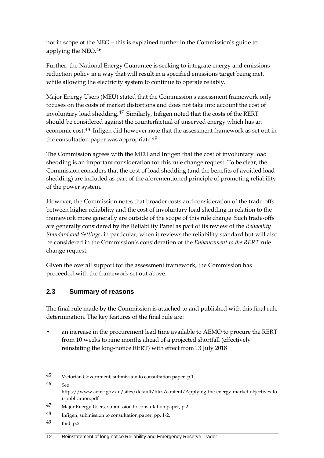not in scope of the NEO – this is explained further in the Commission's guide to applying the NEO.[46](#page-19-1)

Further, the National Energy Guarantee is seeking to integrate energy and emissions reduction policy in a way that will result in a specified emissions target being met, while allowing the electricity system to continue to operate reliably.

Major Energy Users (MEU) stated that the Commission's assessment framework only focuses on the costs of market distortions and does not take into account the cost of involuntary load shedding.[47](#page-19-2) Similarly, Infigen noted that the costs of the RERT should be considered against the counterfactual of unserved energy which has an economic cost.[48](#page-19-3) Infigen did however note that the assessment framework as set out in the consultation paper was appropriate.<sup>[49](#page-19-4)</sup>

The Commission agrees with the MEU and Infigen that the cost of involuntary load shedding is an important consideration for this rule change request. To be clear, the Commission considers that the cost of load shedding (and the benefits of avoided load shedding) are included as part of the aforementioned principle of promoting reliability of the power system.

However, the Commission notes that broader costs and consideration of the trade-offs between higher reliability and the cost of involuntary load shedding in relation to the framework more generally are outside of the scope of this rule change. Such trade-offs are generally considered by the Reliability Panel as part of its review of the *Reliability Standard and Settings*, in particular, when it reviews the reliability standard but will also be considered in the Commission's consideration of the *Enhancement to the RERT* rule change request.

Given the overall support for the assessment framework, the Commission has proceeded with the framework set out above.

## <span id="page-19-0"></span>**2.3 Summary of reasons**

The final rule made by the Commission is attached to and published with this final rule determination. The key features of the final rule are:

• an increase in the procurement lead time available to AEMO to procure the RERT from 10 weeks to nine months ahead of a projected shortfall (effectively reinstating the long-notice RERT) with effect from 13 July 2018

r-publication.pdf

<sup>45</sup> Victorian Government, submission to consultation paper, p.1.

<span id="page-19-1"></span> $46 \qquad \text{See}$ https://www.aemc.gov.au/sites/default/files/content/Applying-the-energy-market-objectives-fo

<span id="page-19-2"></span><sup>47</sup> Major Energy Users, submission to consultation paper, p.2.

<span id="page-19-3"></span><sup>48</sup> Infigen, submission to consultation paper, pp. 1-2.

<span id="page-19-4"></span><sup>49</sup> Ibid. p.2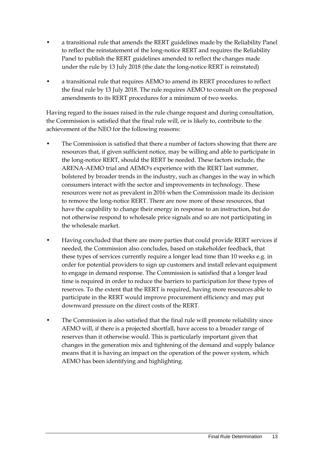- a transitional rule that amends the RERT guidelines made by the Reliability Panel to reflect the reinstatement of the long-notice RERT and requires the Reliability Panel to publish the RERT guidelines amended to reflect the changes made under the rule by 13 July 2018 (the date the long-notice RERT is reinstated)
- a transitional rule that requires AEMO to amend its RERT procedures to reflect the final rule by 13 July 2018. The rule requires AEMO to consult on the proposed amendments to its RERT procedures for a minimum of two weeks.

Having regard to the issues raised in the rule change request and during consultation, the Commission is satisfied that the final rule will, or is likely to, contribute to the achievement of the NEO for the following reasons:

- The Commission is satisfied that there a number of factors showing that there are resources that, if given sufficient notice, may be willing and able to participate in the long-notice RERT, should the RERT be needed. These factors include, the ARENA-AEMO trial and AEMO's experience with the RERT last summer, bolstered by broader trends in the industry, such as changes in the way in which consumers interact with the sector and improvements in technology. These resources were not as prevalent in 2016 when the Commission made its decision to remove the long-notice RERT. There are now more of these resources, that have the capability to change their energy in response to an instruction, but do not otherwise respond to wholesale price signals and so are not participating in the wholesale market.
- Having concluded that there are more parties that could provide RERT services if needed, the Commission also concludes, based on stakeholder feedback, that these types of services currently require a longer lead time than 10 weeks e.g. in order for potential providers to sign up customers and install relevant equipment to engage in demand response. The Commission is satisfied that a longer lead time is required in order to reduce the barriers to participation for these types of reserves. To the extent that the RERT is required, having more resources able to participate in the RERT would improve procurement efficiency and may put downward pressure on the direct costs of the RERT.
- The Commission is also satisfied that the final rule will promote reliability since AEMO will, if there is a projected shortfall, have access to a broader range of reserves than it otherwise would. This is particularly important given that changes in the generation mix and tightening of the demand and supply balance means that it is having an impact on the operation of the power system, which AEMO has been identifying and highlighting.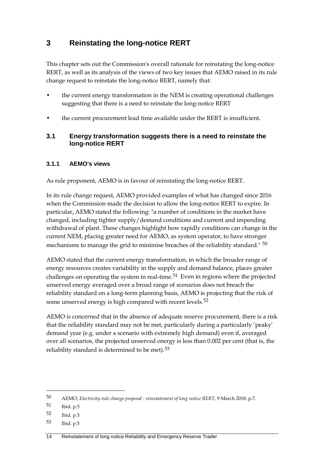# <span id="page-21-0"></span>**3 Reinstating the long-notice RERT**

This chapter sets out the Commission's overall rationale for reinstating the long-notice RERT, as well as its analysis of the views of two key issues that AEMO raised in its rule change request to reinstate the long-notice RERT, namely that:

- the current energy transformation in the NEM is creating operational challenges suggesting that there is a need to reinstate the long-notice RERT
- the current procurement lead time available under the RERT is insufficient.

## <span id="page-21-1"></span>**3.1 Energy transformation suggests there is a need to reinstate the long-notice RERT**

### **3.1.1 AEMO's views**

As rule proponent, AEMO is in favour of reinstating the long-notice RERT.

In its rule change request, AEMO provided examples of what has changed since 2016 when the Commission made the decision to allow the long-notice RERT to expire. In particular, AEMO stated the following: "a number of conditions in the market have changed, including tighter supply/demand conditions and current and impending withdrawal of plant. These changes highlight how rapidly conditions can change in the current NEM, placing greater need for AEMO, as system operator, to have stronger mechanisms to manage the grid to minimise breaches of the reliability standard." <sup>[50](#page-21-2)</sup>

AEMO stated that the current energy transformation, in which the broader range of energy resources creates variability in the supply and demand balance, places greater challenges on operating the system in real-time.<sup>[51](#page-21-3)</sup> Even in regions where the projected unserved energy averaged over a broad range of scenarios does not breach the reliability standard on a long-term planning basis, AEMO is projecting that the risk of some unserved energy is high compared with recent levels.<sup>[52](#page-21-4)</sup>

AEMO is concerned that in the absence of adequate reserve procurement, there is a risk that the reliability standard may not be met, particularly during a particularly 'peaky' demand year (e.g. under a scenario with extremely high demand) even if, averaged over all scenarios, the projected unserved energy is less than 0.002 per cent (that is, the reliability standard is determined to be met).[53](#page-21-5)

-

<span id="page-21-5"></span>53 Ibid. p.5

<span id="page-21-2"></span><sup>50</sup> AEMO, *Electricity rule change proposal - reinstatement of long notice RERT*, 9 March 2018, p.7.

<span id="page-21-3"></span><sup>51</sup> Ibid. p.5

<span id="page-21-4"></span><sup>52</sup> Ibid. p.5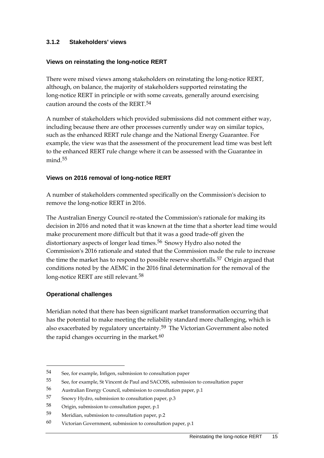#### **3.1.2 Stakeholders' views**

#### **Views on reinstating the long-notice RERT**

There were mixed views among stakeholders on reinstating the long-notice RERT, although, on balance, the majority of stakeholders supported reinstating the long-notice RERT in principle or with some caveats, generally around exercising caution around the costs of the RERT.[54](#page-22-0)

A number of stakeholders which provided submissions did not comment either way, including because there are other processes currently under way on similar topics, such as the enhanced RERT rule change and the National Energy Guarantee. For example, the view was that the assessment of the procurement lead time was best left to the enhanced RERT rule change where it can be assessed with the Guarantee in mind.<sup>[55](#page-22-1)</sup>

#### **Views on 2016 removal of long-notice RERT**

A number of stakeholders commented specifically on the Commission's decision to remove the long-notice RERT in 2016.

The Australian Energy Council re-stated the Commission's rationale for making its decision in 2016 and noted that it was known at the time that a shorter lead time would make procurement more difficult but that it was a good trade-off given the distortionary aspects of longer lead times.<sup>[56](#page-22-2)</sup> Snowy Hydro also noted the Commission's 2016 rationale and stated that the Commission made the rule to increase the time the market has to respond to possible reserve shortfalls.<sup>[57](#page-22-3)</sup> Origin argued that conditions noted by the AEMC in the 2016 final determination for the removal of the long-notice RERT are still relevant.<sup>[58](#page-22-4)</sup>

#### **Operational challenges**

-

Meridian noted that there has been significant market transformation occurring that has the potential to make meeting the reliability standard more challenging, which is also exacerbated by regulatory uncertainty.<sup>[59](#page-22-5)</sup> The Victorian Government also noted the rapid changes occurring in the market. $60$ 

<span id="page-22-0"></span><sup>54</sup> See, for example, Infigen, submission to consultation paper

<span id="page-22-1"></span><sup>55</sup> See, for example, St Vincent de Paul and SACOSS, submission to consultation paper

<span id="page-22-2"></span><sup>56</sup> Australian Energy Council, submission to consultation paper, p.1

<span id="page-22-3"></span><sup>57</sup> Snowy Hydro, submission to consultation paper, p.3

<span id="page-22-4"></span><sup>58</sup> Origin, submission to consultation paper, p.1

<span id="page-22-5"></span><sup>59</sup> Meridian, submission to consultation paper, p.2

<span id="page-22-6"></span><sup>60</sup> Victorian Government, submission to consultation paper, p.1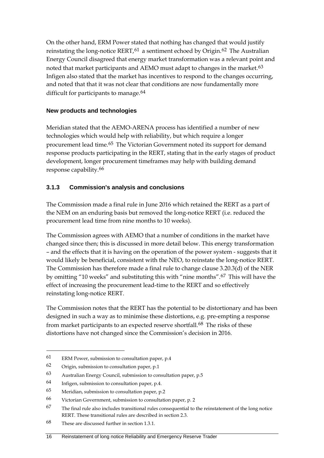On the other hand, ERM Power stated that nothing has changed that would justify reinstating the long-notice RERT,  $61$  a sentiment echoed by Origin.  $62$  The Australian Energy Council disagreed that energy market transformation was a relevant point and noted that market participants and AEMO must adapt to changes in the market.<sup>[63](#page-23-2)</sup> Infigen also stated that the market has incentives to respond to the changes occurring, and noted that that it was not clear that conditions are now fundamentally more difficult for participants to manage.<sup>[64](#page-23-3)</sup>

#### **New products and technologies**

Meridian stated that the AEMO-ARENA process has identified a number of new technologies which would help with reliability, but which require a longer procurement lead time.[65](#page-23-4) The Victorian Government noted its support for demand response products participating in the RERT, stating that in the early stages of product development, longer procurement timeframes may help with building demand response capability.[66](#page-23-5)

### **3.1.3 Commission's analysis and conclusions**

The Commission made a final rule in June 2016 which retained the RERT as a part of the NEM on an enduring basis but removed the long-notice RERT (i.e. reduced the procurement lead time from nine months to 10 weeks).

The Commission agrees with AEMO that a number of conditions in the market have changed since then; this is discussed in more detail below. This energy transformation – and the effects that it is having on the operation of the power system - suggests that it would likely be beneficial, consistent with the NEO, to reinstate the long-notice RERT. The Commission has therefore made a final rule to change clause 3.20.3(d) of the NER by omitting "10 weeks" and substituting this with "nine months".[67](#page-23-6) This will have the effect of increasing the procurement lead-time to the RERT and so effectively reinstating long-notice RERT.

The Commission notes that the RERT has the potential to be distortionary and has been designed in such a way as to minimise these distortions, e.g. pre-empting a response from market participants to an expected reserve shortfall.<sup>68</sup> The risks of these distortions have not changed since the Commission's decision in 2016.

<span id="page-23-0"></span><sup>61</sup> ERM Power, submission to consultation paper, p.4

<span id="page-23-1"></span><sup>62</sup> Origin, submission to consultation paper, p.1

<span id="page-23-2"></span><sup>63</sup> Australian Energy Council, submission to consultation paper, p.5

<span id="page-23-3"></span><sup>64</sup> Infigen, submission to consultation paper, p.4.

<span id="page-23-4"></span><sup>65</sup> Meridian, submission to consultation paper, p.2

<span id="page-23-5"></span><sup>66</sup> Victorian Government, submission to consultation paper, p. 2

<span id="page-23-6"></span><sup>67</sup> The final rule also includes transitional rules consequential to the reinstatement of the long notice RERT. These transitional rules are described in section 2.3.

<span id="page-23-7"></span><sup>68</sup> These are discussed further in section 1.3.1.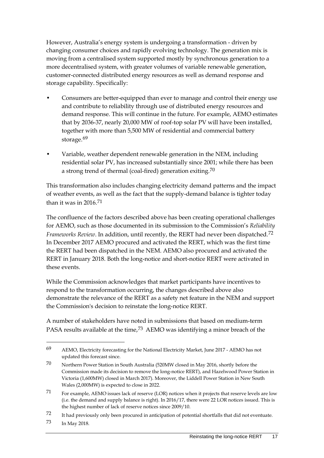However, Australia's energy system is undergoing a transformation - driven by changing consumer choices and rapidly evolving technology. The generation mix is moving from a centralised system supported mostly by synchronous generation to a more decentralised system, with greater volumes of variable renewable generation, customer-connected distributed energy resources as well as demand response and storage capability. Specifically:

- Consumers are better-equipped than ever to manage and control their energy use and contribute to reliability through use of distributed energy resources and demand response. This will continue in the future. For example, AEMO estimates that by 2036-37, nearly 20,000 MW of roof-top solar PV will have been installed, together with more than 5,500 MW of residential and commercial battery storage.<sup>[69](#page-24-0)</sup>
- Variable, weather dependent renewable generation in the NEM, including residential solar PV, has increased substantially since 2001; while there has been a strong trend of thermal (coal-fired) generation exiting.[70](#page-24-1)

This transformation also includes changing electricity demand patterns and the impact of weather events, as well as the fact that the supply-demand balance is tighter today than it was in  $2016$ <sup>[71](#page-24-2)</sup>

The confluence of the factors described above has been creating operational challenges for AEMO, such as those documented in its submission to the Commission's *Reliability Frameworks Review*. In addition, until recently, the RERT had never been dispatched.[72](#page-24-3) In December 2017 AEMO procured and activated the RERT, which was the first time the RERT had been dispatched in the NEM. AEMO also procured and activated the RERT in January 2018. Both the long-notice and short-notice RERT were activated in these events.

While the Commission acknowledges that market participants have incentives to respond to the transformation occurring, the changes described above also demonstrate the relevance of the RERT as a safety net feature in the NEM and support the Commission's decision to reinstate the long-notice RERT.

A number of stakeholders have noted in submissions that based on medium-term PASA results available at the time,<sup>[73](#page-24-4)</sup> AEMO was identifying a minor breach of the

<span id="page-24-0"></span><sup>69</sup> AEMO, Electricity forecasting for the National Electricity Market, June 2017 - AEMO has not updated this forecast since.

<span id="page-24-1"></span><sup>70</sup> Northern Power Station in South Australia (520MW closed in May 2016, shortly before the Commission made its decision to remove the long-notice RERT), and Hazelwood Power Station in Victoria (1,600MW) closed in March 2017). Moreover, the Liddell Power Station in New South Wales (2,000MW) is expected to close in 2022.

<span id="page-24-2"></span><sup>71</sup> For example, AEMO issues lack of reserve (LOR) notices when it projects that reserve levels are low (i.e. the demand and supply balance is right). In 2016/17, there were 22 LOR notices issued. This is the highest number of lack of reserve notices since 2009/10.

<span id="page-24-3"></span><sup>72</sup> It had previously only been procured in anticipation of potential shortfalls that did not eventuate.

<span id="page-24-4"></span><sup>73</sup> In May 2018.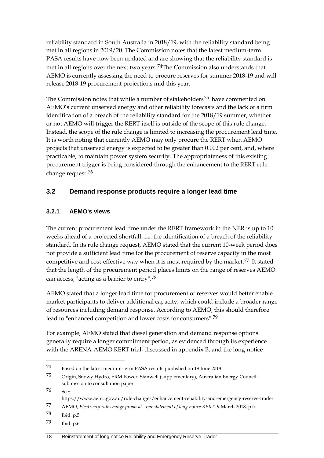reliability standard in South Australia in 2018/19, with the reliability standard being met in all regions in 2019/20. The Commission notes that the latest medium-term PASA results have now been updated and are showing that the reliability standard is met in all regions over the next two years.[74](#page-25-1)The Commission also understands that AEMO is currently assessing the need to procure reserves for summer 2018-19 and will release 2018-19 procurement projections mid this year.

The Commission notes that while a number of stakeholders<sup>[75](#page-25-2)</sup> have commented on AEMO's current unserved energy and other reliability forecasts and the lack of a firm identification of a breach of the reliability standard for the 2018/19 summer, whether or not AEMO will trigger the RERT itself is outside of the scope of this rule change. Instead, the scope of the rule change is limited to increasing the procurement lead time. It is worth noting that currently AEMO may only procure the RERT when AEMO projects that unserved energy is expected to be greater than 0.002 per cent, and, where practicable, to maintain power system security. The appropriateness of this existing procurement trigger is being considered through the enhancement to the RERT rule change request.[76](#page-25-3)

## <span id="page-25-0"></span>**3.2 Demand response products require a longer lead time**

### **3.2.1 AEMO's views**

The current procurement lead time under the RERT framework in the NER is up to 10 weeks ahead of a projected shortfall, i.e. the identification of a breach of the reliability standard. In its rule change request, AEMO stated that the current 10-week period does not provide a sufficient lead time for the procurement of reserve capacity in the most competitive and cost-effective way when it is most required by the market.<sup>[77](#page-25-4)</sup> It stated that the length of the procurement period places limits on the range of reserves AEMO can access, "acting as a barrier to entry".[78](#page-25-5)

AEMO stated that a longer lead time for procurement of reserves would better enable market participants to deliver additional capacity, which could include a broader range of resources including demand response. According to AEMO, this should therefore lead to "enhanced competition and lower costs for consumers".[79](#page-25-6)

For example, AEMO stated that diesel generation and demand response options generally require a longer commitment period, as evidenced through its experience with the ARENA-AEMO RERT trial, discussed in appendix B, and the long-notice

<span id="page-25-3"></span> $76 \qquad \epsilon_{\text{ee}}$ 

<span id="page-25-1"></span><sup>74</sup> Based on the latest medium-term PASA results published on 19 June 2018.

<span id="page-25-2"></span><sup>75</sup> Origin, Snowy Hydro, ERM Power, Stanwell (supplementary), Australian Energy Council: submission to consultation paper

https://www.aemc.gov.au/rule-changes/enhancement-reliability-and-emergency-reserve-trader

<span id="page-25-4"></span><sup>77</sup> AEMO, *Electricity rule change proposal - reinstatement of long notice RERT*, 9 March 2018, p.5.

<span id="page-25-5"></span><sup>78</sup> Ibid. p.5

<span id="page-25-6"></span><sup>79</sup> Ibid. p.6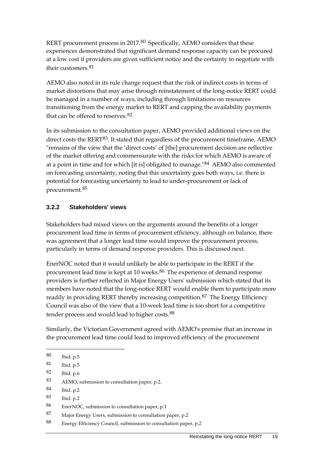RERT procurement process in 2017.<sup>[80](#page-26-0)</sup> Specifically, AEMO considers that these experiences demonstrated that significant demand response capacity can be procured at a low cost if providers are given sufficient notice and the certainty to negotiate with their customers.<sup>[81](#page-26-1)</sup>

AEMO also noted in its rule change request that the risk of indirect costs in terms of market distortions that may arise through reinstatement of the long-notice RERT could be managed in a number of ways, including through limitations on resources transitioning from the energy market to RERT and capping the availability payments that can be offered to reserves.<sup>[82](#page-26-2)</sup>

In its submission to the consultation paper, AEMO provided additional views on the direct costs the RERT<sup>[83](#page-26-3)</sup>. It stated that regardless of the procurement timeframe, AEMO "remains of the view that the 'direct costs' of [the] procurement decision are reflective of the market offering and commensurate with the risks for which AEMO is aware of at a point in time and for which [it is] obligated to manage."<sup>[84](#page-26-4)</sup> AEMO also commented on forecasting uncertainty, noting that this uncertainty goes both ways, i.e. there is potential for forecasting uncertainty to lead to under-procurement or lack of procurement.[85](#page-26-5)

#### **3.2.2 Stakeholders' views**

Stakeholders had mixed views on the arguments around the benefits of a longer procurement lead time in terms of procurement efficiency, although on balance, there was agreement that a longer lead time would improve the procurement process, particularly in terms of demand response providers. This is discussed next.

EnerNOC noted that it would unlikely be able to participate in the RERT if the procurement lead time is kept at 10 weeks.<sup>[86](#page-26-6)</sup> The experience of demand response providers is further reflected in Major Energy Users' submission which stated that its members have noted that the long-notice RERT would enable them to participate more readily in providing RERT thereby increasing competition.<sup>[87](#page-26-7)</sup> The Energy Efficiency Council was also of the view that a 10-week lead time is too short for a competitive tender process and would lead to higher costs.<sup>[88](#page-26-8)</sup>

Similarly, the Victorian Government agreed with AEMO's premise that an increase in the procurement lead time could lead to improved efficiency of the procurement

-

<span id="page-26-2"></span>82 Ibid. p.6

- <span id="page-26-4"></span>84 Ibid. p.2
- <span id="page-26-5"></span>85 Ibid. p.2

- <span id="page-26-7"></span>87 Major Energy Users, submission to consultation paper, p.2
- <span id="page-26-8"></span>88 Energy Efficiency Council, submission to consultation paper, p.2

<span id="page-26-0"></span><sup>80</sup> Ibid. p.5

<span id="page-26-1"></span><sup>81</sup> Ibid. p.5

<span id="page-26-3"></span><sup>83</sup> AEMO, submission to consultation paper, p.2.

<span id="page-26-6"></span><sup>86</sup> EnerNOC, submission to consultation paper, p.1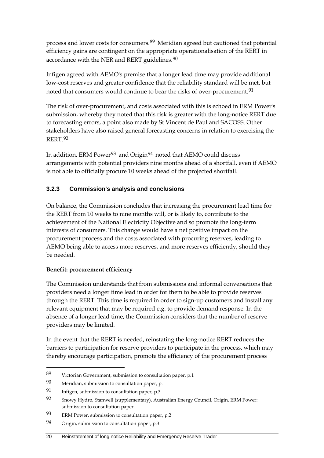process and lower costs for consumers.[89](#page-27-0) Meridian agreed but cautioned that potential efficiency gains are contingent on the appropriate operationalisation of the RERT in accordance with the NER and RERT guidelines.<sup>[90](#page-27-1)</sup>

Infigen agreed with AEMO's premise that a longer lead time may provide additional low-cost reserves and greater confidence that the reliability standard will be met, but noted that consumers would continue to bear the risks of over-procurement.<sup>[91](#page-27-2)</sup>

The risk of over-procurement, and costs associated with this is echoed in ERM Power's submission, whereby they noted that this risk is greater with the long-notice RERT due to forecasting errors, a point also made by St Vincent de Paul and SACOSS. Other stakeholders have also raised general forecasting concerns in relation to exercising the RERT.[92](#page-27-3)

In addition, ERM Power<sup>[93](#page-27-4)</sup> and Origin<sup>94</sup> noted that AEMO could discuss arrangements with potential providers nine months ahead of a shortfall, even if AEMO is not able to officially procure 10 weeks ahead of the projected shortfall.

## **3.2.3 Commission's analysis and conclusions**

On balance, the Commission concludes that increasing the procurement lead time for the RERT from 10 weeks to nine months will, or is likely to, contribute to the achievement of the National Electricity Objective and so promote the long-term interests of consumers. This change would have a net positive impact on the procurement process and the costs associated with procuring reserves, leading to AEMO being able to access more reserves, and more reserves efficiently, should they be needed.

### **Benefit: procurement efficiency**

-

The Commission understands that from submissions and informal conversations that providers need a longer time lead in order for them to be able to provide reserves through the RERT. This time is required in order to sign-up customers and install any relevant equipment that may be required e.g. to provide demand response. In the absence of a longer lead time, the Commission considers that the number of reserve providers may be limited.

In the event that the RERT is needed, reinstating the long-notice RERT reduces the barriers to participation for reserve providers to participate in the process, which may thereby encourage participation, promote the efficiency of the procurement process

<span id="page-27-0"></span><sup>89</sup> Victorian Government, submission to consultation paper, p.1

<span id="page-27-1"></span><sup>90</sup> Meridian, submission to consultation paper, p.1

<span id="page-27-2"></span><sup>91</sup> Infigen, submission to consultation paper, p.3

<span id="page-27-3"></span><sup>92</sup> Snowy Hydro, Stanwell (supplementary), Australian Energy Council, Origin, ERM Power: submission to consultation paper.

<span id="page-27-4"></span><sup>93</sup> ERM Power, submission to consultation paper, p.2

<span id="page-27-5"></span><sup>94</sup> Origin, submission to consultation paper, p.3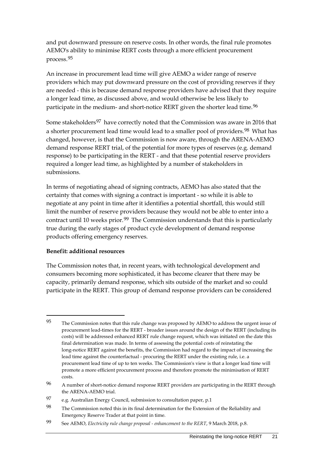and put downward pressure on reserve costs. In other words, the final rule promotes AEMO's ability to minimise RERT costs through a more efficient procurement process.[95](#page-28-0)

An increase in procurement lead time will give AEMO a wider range of reserve providers which may put downward pressure on the cost of providing reserves if they are needed - this is because demand response providers have advised that they require a longer lead time, as discussed above, and would otherwise be less likely to participate in the medium- and short-notice RERT given the shorter lead time.<sup>[96](#page-28-1)</sup>

Some stakeholders<sup>[97](#page-28-2)</sup> have correctly noted that the Commission was aware in 2016 that a shorter procurement lead time would lead to a smaller pool of providers.<sup>[98](#page-28-3)</sup> What has changed, however, is that the Commission is now aware, through the ARENA-AEMO demand response RERT trial, of the potential for more types of reserves (e.g. demand response) to be participating in the RERT - and that these potential reserve providers required a longer lead time, as highlighted by a number of stakeholders in submissions.

In terms of negotiating ahead of signing contracts, AEMO has also stated that the certainty that comes with signing a contract is important - so while it is able to negotiate at any point in time after it identifies a potential shortfall, this would still limit the number of reserve providers because they would not be able to enter into a contract until 10 weeks prior.<sup>99</sup> The Commission understands that this is particularly true during the early stages of product cycle development of demand response products offering emergency reserves.

#### **Benefit: additional resources**

-

The Commission notes that, in recent years, with technological development and consumers becoming more sophisticated, it has become clearer that there may be capacity, primarily demand response, which sits outside of the market and so could participate in the RERT. This group of demand response providers can be considered

<span id="page-28-0"></span><sup>&</sup>lt;sup>95</sup> The Commission notes that this rule change was proposed by AEMO to address the urgent issue of procurement lead-times for the RERT - broader issues around the design of the RERT (including its costs) will be addressed enhanced RERT rule change request, which was initiated on the date this final determination was made. In terms of assessing the potential costs of reinstating the long-notice RERT against the benefits, the Commission had regard to the impact of increasing the lead time against the counterfactual - procuring the RERT under the existing rule, i.e. a procurement lead time of up to ten weeks. The Commission's view is that a longer lead time will promote a more efficient procurement process and therefore promote the minimisation of RERT costs.

<span id="page-28-1"></span><sup>96</sup> A number of short-notice demand response RERT providers are participating in the RERT through the ARENA-AEMO trial.

<span id="page-28-2"></span><sup>97</sup> e.g. Australian Energy Council, submission to consultation paper, p.1

<span id="page-28-3"></span><sup>98</sup> The Commission noted this in its final determination for the Extension of the Reliability and Emergency Reserve Trader at that point in time.

<span id="page-28-4"></span><sup>99</sup> See AEMO, *Electricity rule change proposal - enhancement to the RERT*, 9 March 2018, p.8.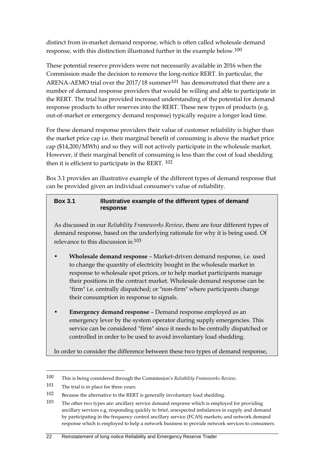distinct from in-market demand response, which is often called wholesale demand response, with this distinction illustrated further in the example below.[100](#page-29-0)

These potential reserve providers were not necessarily available in 2016 when the Commission made the decision to remove the long-notice RERT. In particular, the ARENA-AEMO trial over the  $2017/18$  summer<sup>[101](#page-29-1)</sup> has demonstrated that there are a number of demand response providers that would be willing and able to participate in the RERT. The trial has provided increased understanding of the potential for demand response products to offer reserves into the RERT. These new types of products (e.g. out-of-market or emergency demand response) typically require a longer lead time.

For these demand response providers their value of customer reliability is higher than the market price cap i.e. their marginal benefit of consuming is above the market price cap (\$14,200/MWh) and so they will not actively participate in the wholesale market. However, if their marginal benefit of consuming is less than the cost of load shedding then it is efficient to participate in the RERT. [102](#page-29-2)

Box 3.1 provides an illustrative example of the different types of demand response that can be provided given an individual consumer's value of reliability.

#### **Box 3.1 Illustrative example of the different types of demand response**

As discussed in our *Reliability Frameworks Review*, there are four different types of demand response, based on the underlying rationale for why it is being used. Of relevance to this discussion is:[103](#page-29-3)

- **Wholesale demand response** Market-driven demand response, i.e. used to change the quantity of electricity bought in the wholesale market in response to wholesale spot prices, or to help market participants manage their positions in the contract market. Wholesale demand response can be "firm" i.e. centrally dispatched; or "non-firm" where participants change their consumption in response to signals.
- **Emergency demand response**  Demand response employed as an emergency lever by the system operator during supply emergencies. This service can be considered "firm" since it needs to be centrally dispatched or controlled in order to be used to avoid involuntary load shedding.

In order to consider the difference between these two types of demand response,

<span id="page-29-0"></span><sup>100</sup> This is being considered through the Commission's *Reliability Frameworks Review*.

<span id="page-29-1"></span><sup>101</sup> The trial is in place for three years.

<span id="page-29-2"></span><sup>102</sup> Because the alternative to the RERT is generally involuntary load shedding.

<span id="page-29-3"></span><sup>103</sup> The other two types are: ancillary service demand response which is employed for providing ancillary services e.g. responding quickly to brief, unexpected imbalances in supply and demand by participating in the frequency control ancillary service (FCAS) markets; and network demand response which is employed to help a network business to provide network services to consumers.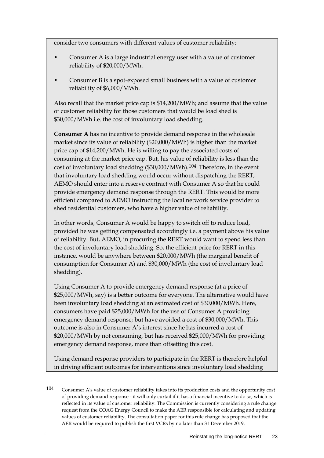consider two consumers with different values of customer reliability:

- Consumer A is a large industrial energy user with a value of customer reliability of \$20,000/MWh.
- Consumer B is a spot-exposed small business with a value of customer reliability of \$6,000/MWh.

Also recall that the market price cap is \$14,200/MWh; and assume that the value of customer reliability for those customers that would be load shed is \$30,000/MWh i.e. the cost of involuntary load shedding.

**Consumer A** has no incentive to provide demand response in the wholesale market since its value of reliability (\$20,000/MWh) is higher than the market price cap of \$14,200/MWh. He is willing to pay the associated costs of consuming at the market price cap. But, his value of reliability is less than the cost of involuntary load shedding (\$30,000/MWh).[104](#page-30-0) Therefore, in the event that involuntary load shedding would occur without dispatching the RERT, AEMO should enter into a reserve contract with Consumer A so that he could provide emergency demand response through the RERT. This would be more efficient compared to AEMO instructing the local network service provider to shed residential customers, who have a higher value of reliability.

In other words, Consumer A would be happy to switch off to reduce load, provided he was getting compensated accordingly i.e. a payment above his value of reliability. But, AEMO, in procuring the RERT would want to spend less than the cost of involuntary load shedding. So, the efficient price for RERT in this instance, would be anywhere between \$20,000/MWh (the marginal benefit of consumption for Consumer A) and \$30,000/MWh (the cost of involuntary load shedding).

Using Consumer A to provide emergency demand response (at a price of \$25,000/MWh, say) is a better outcome for everyone. The alternative would have been involuntary load shedding at an estimated cost of \$30,000/MWh. Here, consumers have paid \$25,000/MWh for the use of Consumer A providing emergency demand response; but have avoided a cost of \$30,000/MWh. This outcome is also in Consumer A's interest since he has incurred a cost of \$20,000/MWh by not consuming, but has received \$25,000/MWh for providing emergency demand response, more than offsetting this cost.

Using demand response providers to participate in the RERT is therefore helpful in driving efficient outcomes for interventions since involuntary load shedding

<span id="page-30-0"></span><sup>104</sup> Consumer A's value of customer reliability takes into its production costs and the opportunity cost of providing demand response - it will only curtail if it has a financial incentive to do so, which is reflected in its value of customer reliability. The Commission is currently considering a rule change request from the COAG Energy Council to make the AER responsible for calculating and updating values of customer reliability. The consultation paper for this rule change has proposed that the AER would be required to publish the first VCRs by no later than 31 December 2019.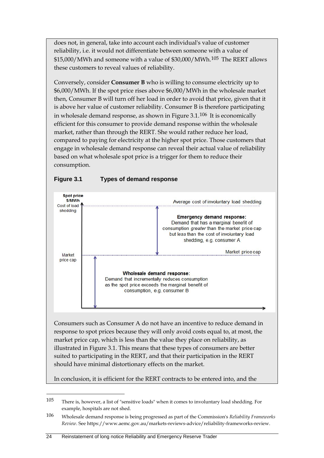does not, in general, take into account each individual's value of customer reliability, i.e. it would not differentiate between someone with a value of \$15,000/MWh and someone with a value of \$30,000/MWh.[105](#page-31-0) The RERT allows these customers to reveal values of reliability.

Conversely, consider **Consumer B** who is willing to consume electricity up to \$6,000/MWh. If the spot price rises above \$6,000/MWh in the wholesale market then, Consumer B will turn off her load in order to avoid that price, given that it is above her value of customer reliability. Consumer B is therefore participating in wholesale demand response, as shown in Figure 3.1.[106](#page-31-1) It is economically efficient for this consumer to provide demand response within the wholesale market, rather than through the RERT. She would rather reduce her load, compared to paying for electricity at the higher spot price. Those customers that engage in wholesale demand response can reveal their actual value of reliability based on what wholesale spot price is a trigger for them to reduce their consumption.



### **Figure 3.1 Types of demand response**

<span id="page-31-0"></span><sup>105</sup> There is, however, a list of "sensitive loads" when it comes to involuntary load shedding. For example, hospitals are not shed.

<span id="page-31-1"></span><sup>106</sup> Wholesale demand response is being progressed as part of the Commission's *Reliability Frameworks Review*. See https://www.aemc.gov.au/markets-reviews-advice/reliability-frameworks-review.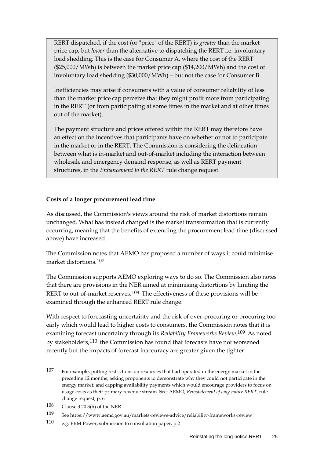RERT dispatched, if the cost (or "price" of the RERT) is *greater* than the market price cap, but *lower* than the alternative to dispatching the RERT i.e. involuntary load shedding. This is the case for Consumer A, where the cost of the RERT (\$25,000/MWh) is between the market price cap (\$14,200/MWh) and the cost of involuntary load shedding (\$30,000/MWh) – but not the case for Consumer B.

Inefficiencies may arise if consumers with a value of consumer reliability of less than the market price cap perceive that they might profit more from participating in the RERT (or from participating at some times in the market and at other times out of the market).

The payment structure and prices offered within the RERT may therefore have an effect on the incentives that participants have on whether or not to participate in the market or in the RERT. The Commission is considering the delineation between what is in-market and out-of-market including the interaction between wholesale and emergency demand response, as well as RERT payment structures, in the *Enhancement to the RERT* rule change request.

#### **Costs of a longer procurement lead time**

As discussed, the Commission's views around the risk of market distortions remain unchanged. What has instead changed is the market transformation that is currently occurring, meaning that the benefits of extending the procurement lead time (discussed above) have increased.

The Commission notes that AEMO has proposed a number of ways it could minimise market distortions.[107](#page-32-0)

The Commission supports AEMO exploring ways to do so. The Commission also notes that there are provisions in the NER aimed at minimising distortions by limiting the RERT to out-of-market reserves.<sup>108</sup> The effectiveness of these provisions will be examined through the enhanced RERT rule change.

With respect to forecasting uncertainty and the risk of over-procuring or procuring too early which would lead to higher costs to consumers, the Commission notes that it is examining forecast uncertainty through its *Reliability Frameworks Review*.[109](#page-32-2) As noted by stakeholders,[110](#page-32-3) the Commission has found that forecasts have not worsened recently but the impacts of forecast inaccuracy are greater given the tighter

<span id="page-32-0"></span><sup>107</sup> For example, putting restrictions on resources that had operated in the energy market in the preceding 12 months; asking proponents to demonstrate why they could not participate in the energy market; and capping availability payments which would encourage providers to focus on usage costs as their primary revenue stream. See: AEMO, *Reinstatement of long notice RERT*, rule change request, p. 6

<span id="page-32-1"></span><sup>108</sup> Clause 3.20.3(h) of the NER.

<span id="page-32-2"></span><sup>109</sup> See https://www.aemc.gov.au/markets-reviews-advice/reliability-frameworks-review

<span id="page-32-3"></span><sup>110</sup> e.g. ERM Power, submission to consultation paper, p.2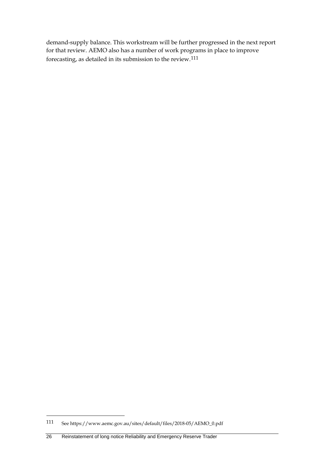demand-supply balance. This workstream will be further progressed in the next report for that review. AEMO also has a number of work programs in place to improve forecasting, as detailed in its submission to the review.[111](#page-33-0)

<span id="page-33-0"></span><sup>111</sup> See https://www.aemc.gov.au/sites/default/files/2018-05/AEMO\_0.pdf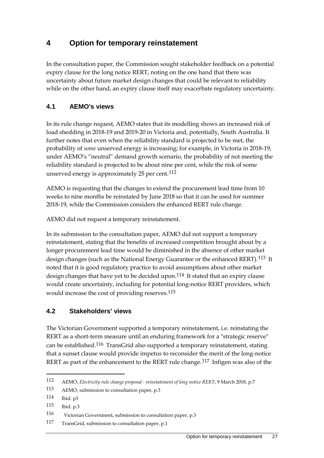# <span id="page-34-0"></span>**4 Option for temporary reinstatement**

In the consultation paper, the Commission sought stakeholder feedback on a potential expiry clause for the long notice RERT, noting on the one hand that there was uncertainty about future market design changes that could be relevant to reliability while on the other hand, an expiry clause itself may exacerbate regulatory uncertainty.

## <span id="page-34-1"></span>**4.1 AEMO's views**

In its rule change request, AEMO states that its modelling shows an increased risk of load shedding in 2018-19 and 2019-20 in Victoria and, potentially, South Australia. It further notes that even when the reliability standard is projected to be met, the probability of *some* unserved energy is increasing; for example, in Victoria in 2018-19, under AEMO's "neutral" demand growth scenario, the probability of not meeting the reliability standard is projected to be about nine per cent, while the risk of some unserved energy is approximately 25 per cent.<sup>[112](#page-34-3)</sup>

AEMO is requesting that the changes to extend the procurement lead time from 10 weeks to nine months be reinstated by June 2018 so that it can be used for summer 2018-19, while the Commission considers the enhanced RERT rule change.

AEMO did not request a temporary reinstatement.

In its submission to the consultation paper, AEMO did not support a temporary reinstatement, stating that the benefits of increased competition brought about by a longer procurement lead time would be diminished in the absence of other market design changes (such as the National Energy Guarantee or the enhanced RERT).[113](#page-34-4) It noted that it is good regulatory practice to avoid assumptions about other market design changes that have yet to be decided upon.<sup>[114](#page-34-5)</sup> It stated that an expiry clause would create uncertainty, including for potential long-notice RERT providers, which would increase the cost of providing reserves.<sup>[115](#page-34-6)</sup>

## <span id="page-34-2"></span>**4.2 Stakeholders' views**

The Victorian Government supported a temporary reinstatement, i.e. reinstating the RERT as a short-term measure until an enduring framework for a "strategic reserve" can be established.[116](#page-34-7) TransGrid also supported a temporary reinstatement, stating that a sunset clause would provide impetus to reconsider the merit of the long-notice RERT as part of the enhancement to the RERT rule change.<sup>[117](#page-34-8)</sup> Infigen was also of the

<span id="page-34-3"></span><sup>112</sup> AEMO, *Electricity rule change proposal - reinstatement of long notice RERT*, 9 March 2018, p.7

<span id="page-34-4"></span><sup>113</sup> AEMO, submission to consultation paper, p.3

<span id="page-34-5"></span><sup>114</sup> Ibid. p3

<span id="page-34-6"></span><sup>115</sup> Ibid. p.3

<span id="page-34-7"></span><sup>116</sup> Victorian Government, submission to consultation paper, p.3

<span id="page-34-8"></span><sup>117</sup> TransGrid, submission to consultation paper, p.1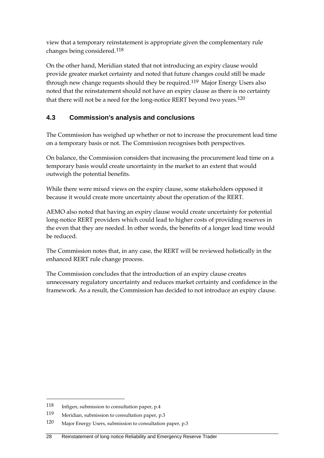view that a temporary reinstatement is appropriate given the complementary rule changes being considered.[118](#page-35-1)

On the other hand, Meridian stated that not introducing an expiry clause would provide greater market certainty and noted that future changes could still be made through new change requests should they be required.<sup>[119](#page-35-2)</sup> Major Energy Users also noted that the reinstatement should not have an expiry clause as there is no certainty that there will not be a need for the long-notice RERT beyond two years.<sup>[120](#page-35-3)</sup>

## <span id="page-35-0"></span>**4.3 Commission's analysis and conclusions**

The Commission has weighed up whether or not to increase the procurement lead time on a temporary basis or not. The Commission recognises both perspectives.

On balance, the Commission considers that increasing the procurement lead time on a temporary basis would create uncertainty in the market to an extent that would outweigh the potential benefits.

While there were mixed views on the expiry clause, some stakeholders opposed it because it would create more uncertainty about the operation of the RERT.

AEMO also noted that having an expiry clause would create uncertainty for potential long-notice RERT providers which could lead to higher costs of providing reserves in the even that they are needed. In other words, the benefits of a longer lead time would be reduced.

The Commission notes that, in any case, the RERT will be reviewed holistically in the enhanced RERT rule change process.

The Commission concludes that the introduction of an expiry clause creates unnecessary regulatory uncertainty and reduces market certainty and confidence in the framework. As a result, the Commission has decided to not introduce an expiry clause.

<span id="page-35-1"></span><sup>118</sup> Infigen, submission to consultation paper, p.4

<span id="page-35-2"></span><sup>119</sup> Meridian, submission to consultation paper, p.3

<span id="page-35-3"></span><sup>120</sup> Major Energy Users, submission to consultation paper, p.3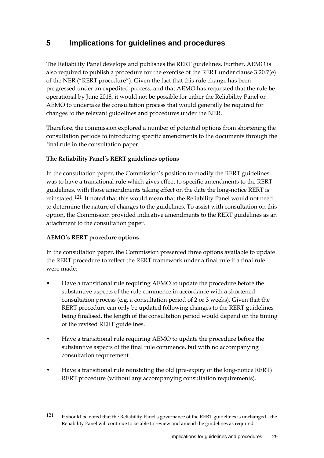# <span id="page-36-0"></span>**5 Implications for guidelines and procedures**

The Reliability Panel develops and publishes the RERT guidelines. Further, AEMO is also required to publish a procedure for the exercise of the RERT under clause 3.20.7(e) of the NER ("RERT procedure"). Given the fact that this rule change has been progressed under an expedited process, and that AEMO has requested that the rule be operational by June 2018, it would not be possible for either the Reliability Panel or AEMO to undertake the consultation process that would generally be required for changes to the relevant guidelines and procedures under the NER.

Therefore, the commission explored a number of potential options from shortening the consultation periods to introducing specific amendments to the documents through the final rule in the consultation paper.

### **The Reliability Panel's RERT guidelines options**

In the consultation paper, the Commission's position to modify the RERT guidelines was to have a transitional rule which gives effect to specific amendments to the RERT guidelines, with those amendments taking effect on the date the long-notice RERT is reinstated.[121](#page-36-1) It noted that this would mean that the Reliability Panel would not need to determine the nature of changes to the guidelines. To assist with consultation on this option, the Commission provided indicative amendments to the RERT guidelines as an attachment to the consultation paper.

### **AEMO's RERT procedure options**

-

In the consultation paper, the Commission presented three options available to update the RERT procedure to reflect the RERT framework under a final rule if a final rule were made:

- Have a transitional rule requiring AEMO to update the procedure before the substantive aspects of the rule commence in accordance with a shortened consultation process (e.g. a consultation period of 2 or 3 weeks). Given that the RERT procedure can only be updated following changes to the RERT guidelines being finalised, the length of the consultation period would depend on the timing of the revised RERT guidelines.
- Have a transitional rule requiring AEMO to update the procedure before the substantive aspects of the final rule commence, but with no accompanying consultation requirement.
- Have a transitional rule reinstating the old (pre-expiry of the long-notice RERT) RERT procedure (without any accompanying consultation requirements).

<span id="page-36-1"></span><sup>121</sup> It should be noted that the Reliability Panel's governance of the RERT guidelines is unchanged - the Reliability Panel will continue to be able to review and amend the guidelines as required.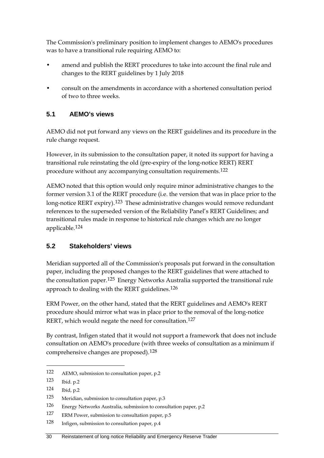The Commission's preliminary position to implement changes to AEMO's procedures was to have a transitional rule requiring AEMO to:

- amend and publish the RERT procedures to take into account the final rule and changes to the RERT guidelines by 1 July 2018
- consult on the amendments in accordance with a shortened consultation period of two to three weeks.

## <span id="page-37-0"></span>**5.1 AEMO's views**

AEMO did not put forward any views on the RERT guidelines and its procedure in the rule change request.

However, in its submission to the consultation paper, it noted its support for having a transitional rule reinstating the old (pre-expiry of the long-notice RERT) RERT procedure without any accompanying consultation requirements.[122](#page-37-2)

AEMO noted that this option would only require minor administrative changes to the former version 3.1 of the RERT procedure (i.e. the version that was in place prior to the long-notice RERT expiry).<sup>[123](#page-37-3)</sup> These administrative changes would remove redundant references to the superseded version of the Reliability Panel's RERT Guidelines; and transitional rules made in response to historical rule changes which are no longer applicable.[124](#page-37-4)

## <span id="page-37-1"></span>**5.2 Stakeholders' views**

Meridian supported all of the Commission's proposals put forward in the consultation paper, including the proposed changes to the RERT guidelines that were attached to the consultation paper.<sup>[125](#page-37-5)</sup> Energy Networks Australia supported the transitional rule approach to dealing with the RERT guidelines.[126](#page-37-6)

ERM Power, on the other hand, stated that the RERT guidelines and AEMO's RERT procedure should mirror what was in place prior to the removal of the long-notice RERT, which would negate the need for consultation.<sup>[127](#page-37-7)</sup>

By contrast, Infigen stated that it would not support a framework that does not include consultation on AEMO's procedure (with three weeks of consultation as a minimum if comprehensive changes are proposed).[128](#page-37-8)

<span id="page-37-2"></span><sup>122</sup> AEMO, submission to consultation paper, p.2

<span id="page-37-3"></span><sup>123</sup> Ibid. p.2

<span id="page-37-4"></span><sup>124</sup> Ibid, p.2

<span id="page-37-5"></span><sup>125</sup> Meridian, submission to consultation paper, p.3

<span id="page-37-6"></span><sup>126</sup> Energy Networks Australia, submission to consultation paper, p.2

<span id="page-37-7"></span><sup>127</sup> ERM Power, submission to consultation paper, p.5

<span id="page-37-8"></span><sup>128</sup> Infigen, submission to consultation paper, p.4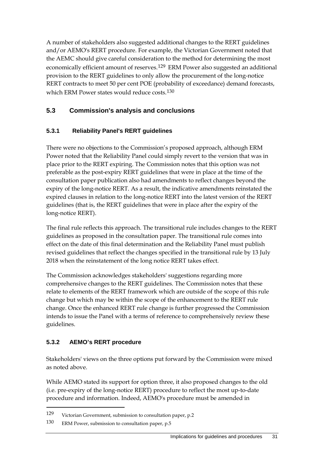A number of stakeholders also suggested additional changes to the RERT guidelines and/or AEMO's RERT procedure. For example, the Victorian Government noted that the AEMC should give careful consideration to the method for determining the most economically efficient amount of reserves.<sup>[129](#page-38-1)</sup> ERM Power also suggested an additional provision to the RERT guidelines to only allow the procurement of the long-notice RERT contracts to meet 50 per cent POE (probability of exceedance) demand forecasts, which ERM Power states would reduce costs.<sup>[130](#page-38-2)</sup>

## <span id="page-38-0"></span>**5.3 Commission's analysis and conclusions**

## **5.3.1 Reliability Panel's RERT guidelines**

There were no objections to the Commission's proposed approach, although ERM Power noted that the Reliability Panel could simply revert to the version that was in place prior to the RERT expiring. The Commission notes that this option was not preferable as the post-expiry RERT guidelines that were in place at the time of the consultation paper publication also had amendments to reflect changes beyond the expiry of the long-notice RERT. As a result, the indicative amendments reinstated the expired clauses in relation to the long-notice RERT into the latest version of the RERT guidelines (that is, the RERT guidelines that were in place after the expiry of the long-notice RERT).

The final rule reflects this approach. The transitional rule includes changes to the RERT guidelines as proposed in the consultation paper. The transitional rule comes into effect on the date of this final determination and the Reliability Panel must publish revised guidelines that reflect the changes specified in the transitional rule by 13 July 2018 when the reinstatement of the long notice RERT takes effect.

The Commission acknowledges stakeholders' suggestions regarding more comprehensive changes to the RERT guidelines. The Commission notes that these relate to elements of the RERT framework which are outside of the scope of this rule change but which may be within the scope of the enhancement to the RERT rule change. Once the enhanced RERT rule change is further progressed the Commission intends to issue the Panel with a terms of reference to comprehensively review these guidelines.

### **5.3.2 AEMO's RERT procedure**

-

Stakeholders' views on the three options put forward by the Commission were mixed as noted above.

While AEMO stated its support for option three, it also proposed changes to the old (i.e. pre-expiry of the long-notice RERT) procedure to reflect the most up-to-date procedure and information. Indeed, AEMO's procedure must be amended in

<span id="page-38-1"></span><sup>129</sup> Victorian Government, submission to consultation paper, p.2

<span id="page-38-2"></span><sup>130</sup> ERM Power, submission to consultation paper, p.5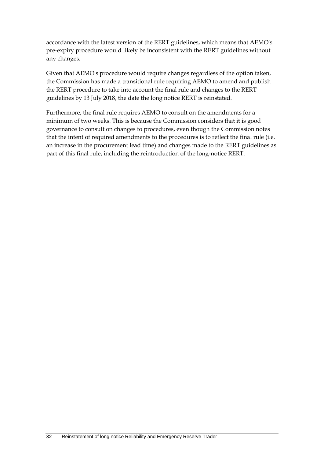accordance with the latest version of the RERT guidelines, which means that AEMO's pre-expiry procedure would likely be inconsistent with the RERT guidelines without any changes.

Given that AEMO's procedure would require changes regardless of the option taken, the Commission has made a transitional rule requiring AEMO to amend and publish the RERT procedure to take into account the final rule and changes to the RERT guidelines by 13 July 2018, the date the long notice RERT is reinstated.

Furthermore, the final rule requires AEMO to consult on the amendments for a minimum of two weeks. This is because the Commission considers that it is good governance to consult on changes to procedures, even though the Commission notes that the intent of required amendments to the procedures is to reflect the final rule (i.e. an increase in the procurement lead time) and changes made to the RERT guidelines as part of this final rule, including the reintroduction of the long-notice RERT.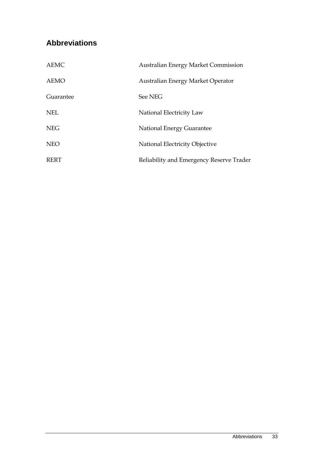# <span id="page-40-0"></span>**Abbreviations**

| <b>AEMC</b> | <b>Australian Energy Market Commission</b> |
|-------------|--------------------------------------------|
| <b>AEMO</b> | Australian Energy Market Operator          |
| Guarantee   | See NEG                                    |
| <b>NEL</b>  | National Electricity Law                   |
| <b>NEG</b>  | National Energy Guarantee                  |
| <b>NEO</b>  | National Electricity Objective             |
| <b>RERT</b> | Reliability and Emergency Reserve Trader   |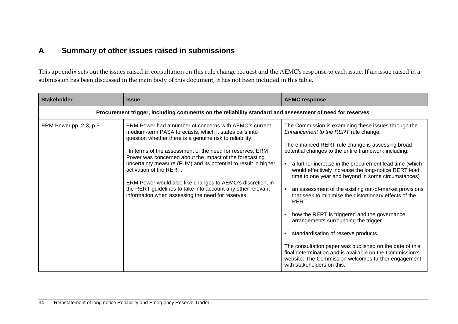# **A Summary of other issues raised in submissions**

This appendix sets out the issues raised in consultation on this rule change request and the AEMC's response to each issue. If an issue raised in a submission has been discussed in the main body of this document, it has not been included in this table.

<span id="page-41-0"></span>

| <b>Stakeholder</b>     | <b>Issue</b>                                                                                                                                                                                                                                                                                                                                                                                                                                                                                                                                                                        | <b>AEMC response</b>                                                                                                                                                                                                                                                                                                                                                                                                                                                                                                                                                                                                                                                                                                                                                                                                                                             |
|------------------------|-------------------------------------------------------------------------------------------------------------------------------------------------------------------------------------------------------------------------------------------------------------------------------------------------------------------------------------------------------------------------------------------------------------------------------------------------------------------------------------------------------------------------------------------------------------------------------------|------------------------------------------------------------------------------------------------------------------------------------------------------------------------------------------------------------------------------------------------------------------------------------------------------------------------------------------------------------------------------------------------------------------------------------------------------------------------------------------------------------------------------------------------------------------------------------------------------------------------------------------------------------------------------------------------------------------------------------------------------------------------------------------------------------------------------------------------------------------|
|                        | Procurement trigger, including comments on the reliability standard and assessment of need for reserves                                                                                                                                                                                                                                                                                                                                                                                                                                                                             |                                                                                                                                                                                                                                                                                                                                                                                                                                                                                                                                                                                                                                                                                                                                                                                                                                                                  |
| ERM Power pp. 2-3, p.5 | ERM Power had a number of concerns with AEMO's current<br>medium-term PASA forecasts, which it states calls into<br>question whether there is a genuine risk to reliability.<br>In terms of the assessment of the need for reserves, ERM<br>Power was concerned about the impact of the forecasting<br>uncertainty measure (FUM) and its potential to result in higher<br>activation of the RERT.<br>ERM Power would also like changes to AEMO's discretion, in<br>the RERT guidelines to take into account any other relevant<br>information when assessing the need for reserves. | The Commission is examining these issues through the<br>Enhancement to the RERT rule change.<br>The enhanced RERT rule change is assessing broad<br>potential changes to the entire framework including:<br>a further increase in the procurement lead time (which<br>would effectively increase the long-notice RERT lead<br>time to one year and beyond in some circumstances)<br>an assessment of the existing out-of-market provisions<br>that seek to minimise the distortionary effects of the<br><b>RERT</b><br>how the RERT is triggered and the governance<br>arrangements surrounding the trigger<br>standardisation of reserve products.<br>The consultation paper was published on the date of this<br>final determination and is available on the Commission's<br>website. The Commission welcomes further engagement<br>with stakeholders on this. |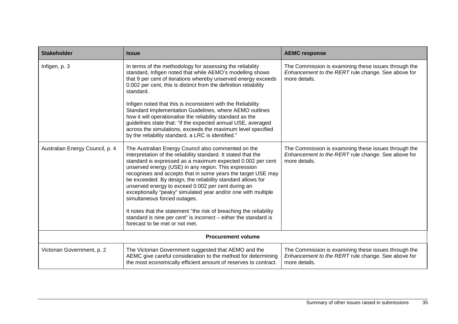| <b>Stakeholder</b>              | <b>Issue</b>                                                                                                                                                                                                                                                                                                                                                                                                                                                                                                                                                                                                                                                                                                  | <b>AEMC response</b>                                                                                                        |
|---------------------------------|---------------------------------------------------------------------------------------------------------------------------------------------------------------------------------------------------------------------------------------------------------------------------------------------------------------------------------------------------------------------------------------------------------------------------------------------------------------------------------------------------------------------------------------------------------------------------------------------------------------------------------------------------------------------------------------------------------------|-----------------------------------------------------------------------------------------------------------------------------|
| Infigen, p. 3                   | In terms of the methodology for assessing the reliability<br>standard, Infigen noted that while AEMO's modelling shows<br>that 9 per cent of iterations whereby unserved energy exceeds<br>0.002 per cent, this is distinct from the definition reliability<br>standard.<br>Infigen noted that this is inconsistent with the Reliability<br>Standard Implementation Guidelines, where AEMO outlines<br>how it will operationalise the reliability standard as the<br>guidelines state that: "if the expected annual USE, averaged<br>across the simulations, exceeds the maximum level specified<br>by the reliability standard, a LRC is identified."                                                        | The Commission is examining these issues through the<br>Enhancement to the RERT rule change. See above for<br>more details. |
| Australian Energy Council, p. 4 | The Australian Energy Council also commented on the<br>interpretation of the reliability standard. It stated that the<br>standard is expressed as a maximum expected 0.002 per cent<br>unserved energy (USE) in any region. This expression<br>recognises and accepts that in some years the target USE may<br>be exceeded. By design, the reliability standard allows for<br>unserved energy to exceed 0.002 per cent during an<br>exceptionally "peaky" simulated year and/or one with multiple<br>simultaneous forced outages.<br>It notes that the statement "the risk of breaching the reliability<br>standard is nine per cent" is incorrect - either the standard is<br>forecast to be met or not met. | The Commission is examining these issues through the<br>Enhancement to the RERT rule change. See above for<br>more details. |
| <b>Procurement volume</b>       |                                                                                                                                                                                                                                                                                                                                                                                                                                                                                                                                                                                                                                                                                                               |                                                                                                                             |
| Victorian Government, p. 2      | The Victorian Government suggested that AEMO and the<br>AEMC give careful consideration to the method for determining<br>the most economically efficient amount of reserves to contract.                                                                                                                                                                                                                                                                                                                                                                                                                                                                                                                      | The Commission is examining these issues through the<br>Enhancement to the RERT rule change. See above for<br>more details. |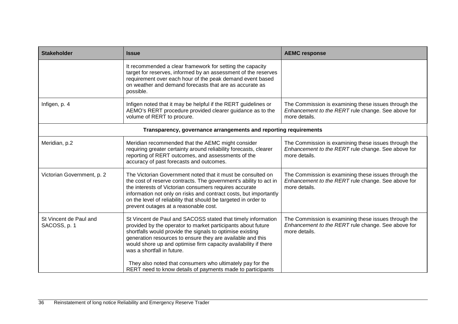| <b>Stakeholder</b>                                               | <b>Issue</b>                                                                                                                                                                                                                                                                                                                                                                                                                                                                        | <b>AEMC response</b>                                                                                                        |  |
|------------------------------------------------------------------|-------------------------------------------------------------------------------------------------------------------------------------------------------------------------------------------------------------------------------------------------------------------------------------------------------------------------------------------------------------------------------------------------------------------------------------------------------------------------------------|-----------------------------------------------------------------------------------------------------------------------------|--|
|                                                                  | It recommended a clear framework for setting the capacity<br>target for reserves, informed by an assessment of the reserves<br>requirement over each hour of the peak demand event based<br>on weather and demand forecasts that are as accurate as<br>possible.                                                                                                                                                                                                                    |                                                                                                                             |  |
| Infigen, p. 4                                                    | Infigen noted that it may be helpful if the RERT guidelines or<br>AEMO's RERT procedure provided clearer guidance as to the<br>volume of RERT to procure.                                                                                                                                                                                                                                                                                                                           | The Commission is examining these issues through the<br>Enhancement to the RERT rule change. See above for<br>more details. |  |
| Transparency, governance arrangements and reporting requirements |                                                                                                                                                                                                                                                                                                                                                                                                                                                                                     |                                                                                                                             |  |
| Meridian, p.2                                                    | Meridian recommended that the AEMC might consider<br>requiring greater certainty around reliability forecasts, clearer<br>reporting of RERT outcomes, and assessments of the<br>accuracy of past forecasts and outcomes.                                                                                                                                                                                                                                                            | The Commission is examining these issues through the<br>Enhancement to the RERT rule change. See above for<br>more details. |  |
| Victorian Government, p. 2                                       | The Victorian Government noted that it must be consulted on<br>the cost of reserve contracts. The government's ability to act in<br>the interests of Victorian consumers requires accurate<br>information not only on risks and contract costs, but importantly<br>on the level of reliability that should be targeted in order to<br>prevent outages at a reasonable cost.                                                                                                         | The Commission is examining these issues through the<br>Enhancement to the RERT rule change. See above for<br>more details. |  |
| St Vincent de Paul and<br>SACOSS, p. 1                           | St Vincent de Paul and SACOSS stated that timely information<br>provided by the operator to market participants about future<br>shortfalls would provide the signals to optimise existing<br>generation resources to ensure they are available and this<br>would shore up and optimise firm capacity availability if there<br>was a shortfall in future.<br>They also noted that consumers who ultimately pay for the<br>RERT need to know details of payments made to participants | The Commission is examining these issues through the<br>Enhancement to the RERT rule change. See above for<br>more details. |  |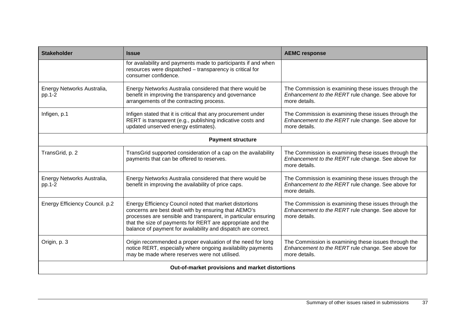| <b>Stakeholder</b>                              | <b>Issue</b>                                                                                                                                                                                                                                                                                                     | <b>AEMC response</b>                                                                                                        |
|-------------------------------------------------|------------------------------------------------------------------------------------------------------------------------------------------------------------------------------------------------------------------------------------------------------------------------------------------------------------------|-----------------------------------------------------------------------------------------------------------------------------|
|                                                 | for availability and payments made to participants if and when<br>resources were dispatched - transparency is critical for<br>consumer confidence.                                                                                                                                                               |                                                                                                                             |
| Energy Networks Australia,<br>pp.1-2            | Energy Networks Australia considered that there would be<br>benefit in improving the transparency and governance<br>arrangements of the contracting process.                                                                                                                                                     | The Commission is examining these issues through the<br>Enhancement to the RERT rule change. See above for<br>more details. |
| Infigen, p.1                                    | Infigen stated that it is critical that any procurement under<br>RERT is transparent (e.g., publishing indicative costs and<br>updated unserved energy estimates).                                                                                                                                               | The Commission is examining these issues through the<br>Enhancement to the RERT rule change. See above for<br>more details. |
|                                                 | <b>Payment structure</b>                                                                                                                                                                                                                                                                                         |                                                                                                                             |
| TransGrid, p. 2                                 | TransGrid supported consideration of a cap on the availability<br>payments that can be offered to reserves.                                                                                                                                                                                                      | The Commission is examining these issues through the<br>Enhancement to the RERT rule change. See above for<br>more details. |
| Energy Networks Australia,<br>pp.1-2            | Energy Networks Australia considered that there would be<br>benefit in improving the availability of price caps.                                                                                                                                                                                                 | The Commission is examining these issues through the<br>Enhancement to the RERT rule change. See above for<br>more details. |
| Energy Efficiency Council. p.2                  | Energy Efficiency Council noted that market distortions<br>concerns are best dealt with by ensuring that AEMO's<br>processes are sensible and transparent, in particular ensuring<br>that the size of payments for RERT are appropriate and the<br>balance of payment for availability and dispatch are correct. | The Commission is examining these issues through the<br>Enhancement to the RERT rule change. See above for<br>more details. |
| Origin, p. 3                                    | Origin recommended a proper evaluation of the need for long<br>notice RERT, especially where ongoing availability payments<br>may be made where reserves were not utilised.                                                                                                                                      | The Commission is examining these issues through the<br>Enhancement to the RERT rule change. See above for<br>more details. |
| Out-of-market provisions and market distortions |                                                                                                                                                                                                                                                                                                                  |                                                                                                                             |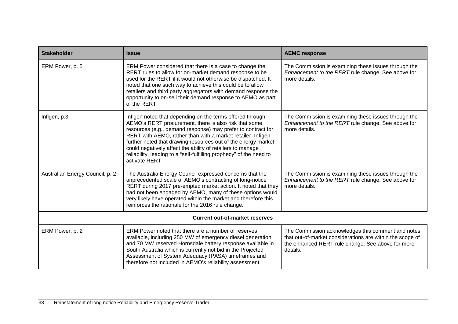| <b>Stakeholder</b>                    | <b>Issue</b>                                                                                                                                                                                                                                                                                                                                                                                                                                                              | <b>AEMC response</b>                                                                                                                                                             |  |
|---------------------------------------|---------------------------------------------------------------------------------------------------------------------------------------------------------------------------------------------------------------------------------------------------------------------------------------------------------------------------------------------------------------------------------------------------------------------------------------------------------------------------|----------------------------------------------------------------------------------------------------------------------------------------------------------------------------------|--|
| ERM Power, p. 5                       | ERM Power considered that there is a case to change the<br>RERT rules to allow for on-market demand response to be<br>used for the RERT if it would not otherwise be dispatched. It<br>noted that one such way to achieve this could be to allow<br>retailers and third party aggregators with demand response the<br>opportunity to on-sell their demand response to AEMO as part<br>of the RERT                                                                         | The Commission is examining these issues through the<br>Enhancement to the RERT rule change. See above for<br>more details.                                                      |  |
| Infigen, p.3                          | Infigen noted that depending on the terms offered through<br>AEMO's RERT procurement, there is also risk that some<br>resources (e.g., demand response) may prefer to contract for<br>RERT with AEMO, rather than with a market retailer. Infigen<br>further noted that drawing resources out of the energy market<br>could negatively affect the ability of retailers to manage<br>reliability, leading to a "self-fulfilling prophecy" of the need to<br>activate RERT. | The Commission is examining these issues through the<br>Enhancement to the RERT rule change. See above for<br>more details.                                                      |  |
| Australian Energy Council, p. 2       | The Australia Energy Council expressed concerns that the<br>unprecedented scale of AEMO's contracting of long-notice<br>RERT during 2017 pre-empted market action. It noted that they<br>had not been engaged by AEMO, many of these options would<br>very likely have operated within the market and therefore this<br>reinforces the rationale for the 2016 rule change.                                                                                                | The Commission is examining these issues through the<br>Enhancement to the RERT rule change. See above for<br>more details.                                                      |  |
| <b>Current out-of-market reserves</b> |                                                                                                                                                                                                                                                                                                                                                                                                                                                                           |                                                                                                                                                                                  |  |
| ERM Power, p. 2                       | ERM Power noted that there are a number of reserves<br>available, including 250 MW of emergency diesel generation<br>and 70 MW reserved Hornsdale battery response available in<br>South Australia which is currently not bid in the Projected<br>Assessment of System Adequacy (PASA) timeframes and<br>therefore not included in AEMO's reliability assessment.                                                                                                         | The Commission acknowledges this comment and notes<br>that out-of-market considerations are within the scope of<br>the enhanced RERT rule change. See above for more<br>details. |  |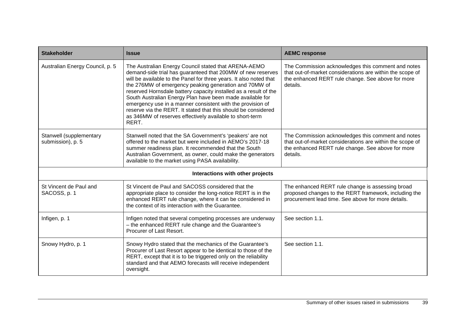| <b>Stakeholder</b>                           | <b>Issue</b>                                                                                                                                                                                                                                                                                                                                                                                                                                                                                                                                                                             | <b>AEMC response</b>                                                                                                                                                             |  |  |
|----------------------------------------------|------------------------------------------------------------------------------------------------------------------------------------------------------------------------------------------------------------------------------------------------------------------------------------------------------------------------------------------------------------------------------------------------------------------------------------------------------------------------------------------------------------------------------------------------------------------------------------------|----------------------------------------------------------------------------------------------------------------------------------------------------------------------------------|--|--|
| Australian Energy Council, p. 5              | The Australian Energy Council stated that ARENA-AEMO<br>demand-side trial has guaranteed that 200MW of new reserves<br>will be available to the Panel for three years. It also noted that<br>the 276MW of emergency peaking generation and 70MW of<br>reserved Hornsdale battery capacity installed as a result of the<br>South Australian Energy Plan have been made available for<br>emergency use in a manner consistent with the provision of<br>reserve via the RERT. It stated that this should be considered<br>as 346MW of reserves effectively available to short-term<br>RERT. | The Commission acknowledges this comment and notes<br>that out-of-market considerations are within the scope of<br>the enhanced RERT rule change. See above for more<br>details. |  |  |
| Stanwell (supplementary<br>submission), p. 5 | Stanwell noted that the SA Government's 'peakers' are not<br>offered to the market but were included in AEMO's 2017-18<br>summer readiness plan. It recommended that the South<br>Australian Government, as owner, could make the generators<br>available to the market using PASA availability.                                                                                                                                                                                                                                                                                         | The Commission acknowledges this comment and notes<br>that out-of-market considerations are within the scope of<br>the enhanced RERT rule change. See above for more<br>details. |  |  |
|                                              | Interactions with other projects                                                                                                                                                                                                                                                                                                                                                                                                                                                                                                                                                         |                                                                                                                                                                                  |  |  |
| St Vincent de Paul and<br>SACOSS, p. 1       | St Vincent de Paul and SACOSS considered that the<br>appropriate place to consider the long-notice RERT is in the<br>enhanced RERT rule change, where it can be considered in<br>the context of its interaction with the Guarantee.                                                                                                                                                                                                                                                                                                                                                      | The enhanced RERT rule change is assessing broad<br>proposed changes to the RERT framework, including the<br>procurement lead time. See above for more details.                  |  |  |
| Infigen, p. 1                                | Infigen noted that several competing processes are underway<br>- the enhanced RERT rule change and the Guarantee's<br>Procurer of Last Resort.                                                                                                                                                                                                                                                                                                                                                                                                                                           | See section 1.1.                                                                                                                                                                 |  |  |
| Snowy Hydro, p. 1                            | Snowy Hydro stated that the mechanics of the Guarantee's<br>Procurer of Last Resort appear to be identical to those of the<br>RERT, except that it is to be triggered only on the reliability<br>standard and that AEMO forecasts will receive independent<br>oversight.                                                                                                                                                                                                                                                                                                                 | See section 1.1.                                                                                                                                                                 |  |  |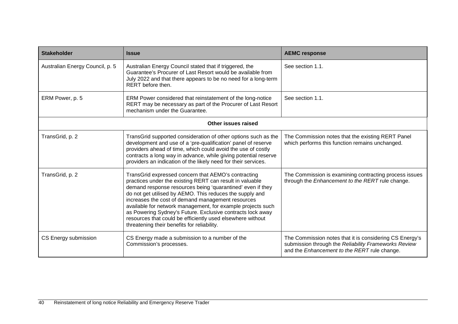| <b>Stakeholder</b>              | <b>Issue</b>                                                                                                                                                                                                                                                                                                                                                                                                                                                                                                                             | <b>AEMC response</b>                                                                                                                                            |  |  |
|---------------------------------|------------------------------------------------------------------------------------------------------------------------------------------------------------------------------------------------------------------------------------------------------------------------------------------------------------------------------------------------------------------------------------------------------------------------------------------------------------------------------------------------------------------------------------------|-----------------------------------------------------------------------------------------------------------------------------------------------------------------|--|--|
| Australian Energy Council, p. 5 | Australian Energy Council stated that if triggered, the<br>Guarantee's Procurer of Last Resort would be available from<br>July 2022 and that there appears to be no need for a long-term<br>RERT before then.                                                                                                                                                                                                                                                                                                                            | See section 1.1.                                                                                                                                                |  |  |
| ERM Power, p. 5                 | ERM Power considered that reinstatement of the long-notice<br>RERT may be necessary as part of the Procurer of Last Resort<br>mechanism under the Guarantee.                                                                                                                                                                                                                                                                                                                                                                             | See section 1.1.                                                                                                                                                |  |  |
|                                 | Other issues raised                                                                                                                                                                                                                                                                                                                                                                                                                                                                                                                      |                                                                                                                                                                 |  |  |
| TransGrid, p. 2                 | TransGrid supported consideration of other options such as the<br>development and use of a 'pre-qualification' panel of reserve<br>providers ahead of time, which could avoid the use of costly<br>contracts a long way in advance, while giving potential reserve<br>providers an indication of the likely need for their services.                                                                                                                                                                                                     | The Commission notes that the existing RERT Panel<br>which performs this function remains unchanged.                                                            |  |  |
| TransGrid, p. 2                 | TransGrid expressed concern that AEMO's contracting<br>practices under the existing RERT can result in valuable<br>demand response resources being 'quarantined' even if they<br>do not get utilised by AEMO. This reduces the supply and<br>increases the cost of demand management resources<br>available for network management, for example projects such<br>as Powering Sydney's Future. Exclusive contracts lock away<br>resources that could be efficiently used elsewhere without<br>threatening their benefits for reliability. | The Commission is examining contracting process issues<br>through the Enhancement to the RERT rule change.                                                      |  |  |
| CS Energy submission            | CS Energy made a submission to a number of the<br>Commission's processes.                                                                                                                                                                                                                                                                                                                                                                                                                                                                | The Commission notes that it is considering CS Energy's<br>submission through the Reliability Frameworks Review<br>and the Enhancement to the RERT rule change. |  |  |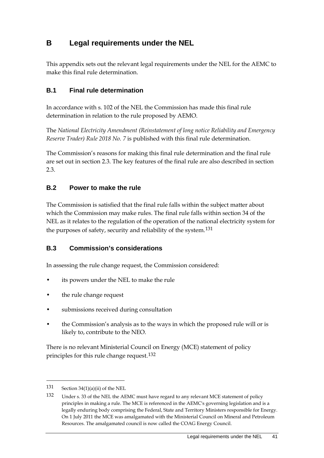# <span id="page-48-0"></span>**B Legal requirements under the NEL**

This appendix sets out the relevant legal requirements under the NEL for the AEMC to make this final rule determination.

## <span id="page-48-1"></span>**B.1 Final rule determination**

In accordance with s. 102 of the NEL the Commission has made this final rule determination in relation to the rule proposed by AEMO.

The *National Electricity Amendment (Reinstatement of long notice Reliability and Emergency Reserve Trader) Rule 2018 No. 7* is published with this final rule determination.

The Commission's reasons for making this final rule determination and the final rule are set out in section 2.3. The key features of the final rule are also described in section 2.3.

## <span id="page-48-2"></span>**B.2 Power to make the rule**

The Commission is satisfied that the final rule falls within the subject matter about which the Commission may make rules. The final rule falls within section 34 of the NEL as it relates to the regulation of the operation of the national electricity system for the purposes of safety, security and reliability of the system.<sup>[131](#page-48-4)</sup>

### <span id="page-48-3"></span>**B.3 Commission's considerations**

In assessing the rule change request, the Commission considered:

- its powers under the NEL to make the rule
- the rule change request
- submissions received during consultation
- the Commission's analysis as to the ways in which the proposed rule will or is likely to, contribute to the NEO.

There is no relevant Ministerial Council on Energy (MCE) statement of policy principles for this rule change request.[132](#page-48-5)

<span id="page-48-4"></span><sup>131</sup> Section  $34(1)(a)(ii)$  of the NEL

<span id="page-48-5"></span><sup>132</sup> Under s. 33 of the NEL the AEMC must have regard to any relevant MCE statement of policy principles in making a rule. The MCE is referenced in the AEMC's governing legislation and is a legally enduring body comprising the Federal, State and Territory Ministers responsible for Energy. On 1 July 2011 the MCE was amalgamated with the Ministerial Council on Mineral and Petroleum Resources. The amalgamated council is now called the COAG Energy Council.